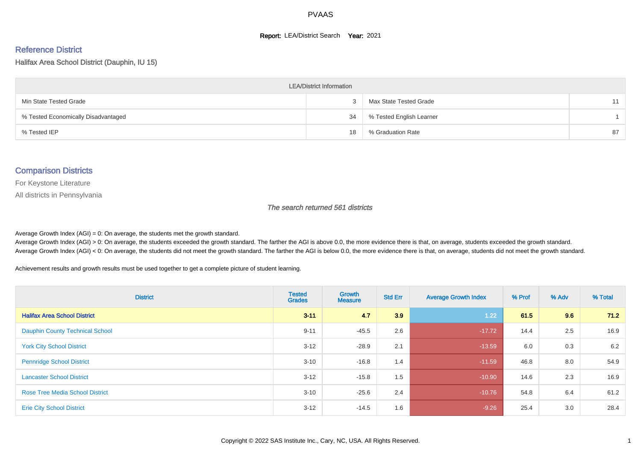#### **Report: LEA/District Search Year: 2021**

# Reference District

Halifax Area School District (Dauphin, IU 15)

| <b>LEA/District Information</b>     |    |                          |    |  |  |  |  |  |  |  |
|-------------------------------------|----|--------------------------|----|--|--|--|--|--|--|--|
| Min State Tested Grade              |    | Max State Tested Grade   | 11 |  |  |  |  |  |  |  |
| % Tested Economically Disadvantaged | 34 | % Tested English Learner |    |  |  |  |  |  |  |  |
| % Tested IEP                        | 18 | % Graduation Rate        | 87 |  |  |  |  |  |  |  |

#### Comparison Districts

For Keystone Literature

All districts in Pennsylvania

The search returned 561 districts

Average Growth Index  $(AGI) = 0$ : On average, the students met the growth standard.

Average Growth Index (AGI) > 0: On average, the students exceeded the growth standard. The farther the AGI is above 0.0, the more evidence there is that, on average, students exceeded the growth standard. Average Growth Index (AGI) < 0: On average, the students did not meet the growth standard. The farther the AGI is below 0.0, the more evidence there is that, on average, students did not meet the growth standard.

Achievement results and growth results must be used together to get a complete picture of student learning.

| <b>District</b>                        | <b>Tested</b><br><b>Grades</b> | <b>Growth</b><br><b>Measure</b> | <b>Std Err</b> | <b>Average Growth Index</b> | % Prof | % Adv | % Total |
|----------------------------------------|--------------------------------|---------------------------------|----------------|-----------------------------|--------|-------|---------|
| <b>Halifax Area School District</b>    | $3 - 11$                       | 4.7                             | 3.9            | 1.22                        | 61.5   | 9.6   | 71.2    |
| <b>Dauphin County Technical School</b> | $9 - 11$                       | $-45.5$                         | 2.6            | $-17.72$                    | 14.4   | 2.5   | 16.9    |
| <b>York City School District</b>       | $3 - 12$                       | $-28.9$                         | 2.1            | $-13.59$                    | 6.0    | 0.3   | 6.2     |
| <b>Pennridge School District</b>       | $3 - 10$                       | $-16.8$                         | 1.4            | $-11.59$                    | 46.8   | 8.0   | 54.9    |
| <b>Lancaster School District</b>       | $3 - 12$                       | $-15.8$                         | 1.5            | $-10.90$                    | 14.6   | 2.3   | 16.9    |
| <b>Rose Tree Media School District</b> | $3 - 10$                       | $-25.6$                         | 2.4            | $-10.76$                    | 54.8   | 6.4   | 61.2    |
| <b>Erie City School District</b>       | $3 - 12$                       | $-14.5$                         | 1.6            | $-9.26$                     | 25.4   | 3.0   | 28.4    |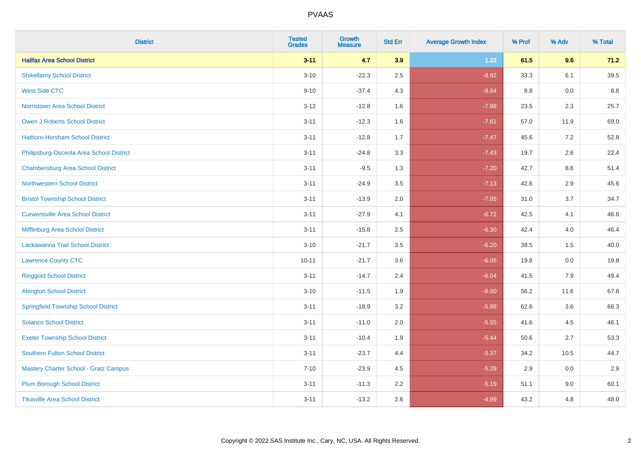| <b>District</b>                              | <b>Tested</b><br><b>Grades</b> | <b>Growth</b><br><b>Measure</b> | <b>Std Err</b> | <b>Average Growth Index</b> | % Prof | % Adv | % Total |
|----------------------------------------------|--------------------------------|---------------------------------|----------------|-----------------------------|--------|-------|---------|
| <b>Halifax Area School District</b>          | $3 - 11$                       | 4.7                             | 3.9            | 1.22                        | 61.5   | 9.6   | 71.2    |
| <b>Shikellamy School District</b>            | $3 - 10$                       | $-22.3$                         | 2.5            | $-8.92$                     | 33.3   | 6.1   | 39.5    |
| <b>West Side CTC</b>                         | $9 - 10$                       | $-37.4$                         | 4.3            | $-8.64$                     | 8.8    | 0.0   | 8.8     |
| <b>Norristown Area School District</b>       | $3 - 12$                       | $-12.8$                         | 1.6            | $-7.98$                     | 23.5   | 2.3   | 25.7    |
| Owen J Roberts School District               | $3 - 11$                       | $-12.3$                         | 1.6            | $-7.61$                     | 57.0   | 11.9  | 69.0    |
| <b>Hatboro-Horsham School District</b>       | $3 - 11$                       | $-12.8$                         | 1.7            | $-7.47$                     | 45.6   | 7.2   | 52.8    |
| Philipsburg-Osceola Area School District     | $3 - 11$                       | $-24.8$                         | 3.3            | $-7.43$                     | 19.7   | 2.6   | 22.4    |
| <b>Chambersburg Area School District</b>     | $3 - 11$                       | $-9.5$                          | 1.3            | $-7.20$                     | 42.7   | 8.6   | 51.4    |
| <b>Northwestern School District</b>          | $3 - 11$                       | $-24.9$                         | 3.5            | $-7.13$                     | 42.6   | 2.9   | 45.6    |
| <b>Bristol Township School District</b>      | $3 - 11$                       | $-13.9$                         | 2.0            | $-7.05$                     | 31.0   | 3.7   | 34.7    |
| <b>Curwensville Area School District</b>     | $3 - 11$                       | $-27.9$                         | 4.1            | $-6.72$                     | 42.5   | 4.1   | 46.6    |
| Mifflinburg Area School District             | $3 - 11$                       | $-15.8$                         | 2.5            | $-6.30$                     | 42.4   | 4.0   | 46.4    |
| Lackawanna Trail School District             | $3 - 10$                       | $-21.7$                         | 3.5            | $-6.20$                     | 38.5   | 1.5   | 40.0    |
| <b>Lawrence County CTC</b>                   | $10 - 11$                      | $-21.7$                         | 3.6            | $-6.05$                     | 19.8   | 0.0   | 19.8    |
| <b>Ringgold School District</b>              | $3 - 11$                       | $-14.7$                         | 2.4            | $-6.04$                     | 41.5   | 7.9   | 49.4    |
| <b>Abington School District</b>              | $3 - 10$                       | $-11.5$                         | 1.9            | $-6.00$                     | 56.2   | 11.6  | 67.8    |
| <b>Springfield Township School District</b>  | $3 - 11$                       | $-18.9$                         | 3.2            | $-5.88$                     | 62.6   | 3.6   | 66.3    |
| <b>Solanco School District</b>               | $3 - 11$                       | $-11.0$                         | 2.0            | $-5.55$                     | 41.6   | 4.5   | 46.1    |
| <b>Exeter Township School District</b>       | $3 - 11$                       | $-10.4$                         | 1.9            | $-5.44$                     | 50.6   | 2.7   | 53.3    |
| <b>Southern Fulton School District</b>       | $3 - 11$                       | $-23.7$                         | 4.4            | $-5.37$                     | 34.2   | 10.5  | 44.7    |
| <b>Mastery Charter School - Gratz Campus</b> | $7 - 10$                       | $-23.9$                         | 4.5            | $-5.29$                     | 2.9    | 0.0   | 2.9     |
| <b>Plum Borough School District</b>          | $3 - 11$                       | $-11.3$                         | 2.2            | $-5.19$                     | 51.1   | 9.0   | 60.1    |
| <b>Titusville Area School District</b>       | $3 - 11$                       | $-13.2$                         | 2.6            | $-4.99$                     | 43.2   | 4.8   | 48.0    |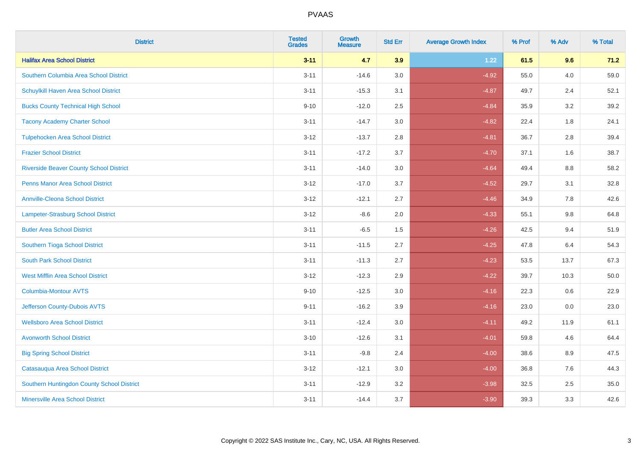| <b>District</b>                                | <b>Tested</b><br><b>Grades</b> | <b>Growth</b><br><b>Measure</b> | <b>Std Err</b> | <b>Average Growth Index</b> | % Prof | % Adv   | % Total |
|------------------------------------------------|--------------------------------|---------------------------------|----------------|-----------------------------|--------|---------|---------|
| <b>Halifax Area School District</b>            | $3 - 11$                       | 4.7                             | 3.9            | 1.22                        | 61.5   | 9.6     | 71.2    |
| Southern Columbia Area School District         | $3 - 11$                       | $-14.6$                         | 3.0            | $-4.92$                     | 55.0   | 4.0     | 59.0    |
| Schuylkill Haven Area School District          | $3 - 11$                       | $-15.3$                         | 3.1            | $-4.87$                     | 49.7   | 2.4     | 52.1    |
| <b>Bucks County Technical High School</b>      | $9 - 10$                       | $-12.0$                         | 2.5            | $-4.84$                     | 35.9   | 3.2     | 39.2    |
| <b>Tacony Academy Charter School</b>           | $3 - 11$                       | $-14.7$                         | 3.0            | $-4.82$                     | 22.4   | 1.8     | 24.1    |
| <b>Tulpehocken Area School District</b>        | $3 - 12$                       | $-13.7$                         | 2.8            | $-4.81$                     | 36.7   | 2.8     | 39.4    |
| <b>Frazier School District</b>                 | $3 - 11$                       | $-17.2$                         | 3.7            | $-4.70$                     | 37.1   | 1.6     | 38.7    |
| <b>Riverside Beaver County School District</b> | $3 - 11$                       | $-14.0$                         | 3.0            | $-4.64$                     | 49.4   | 8.8     | 58.2    |
| <b>Penns Manor Area School District</b>        | $3 - 12$                       | $-17.0$                         | 3.7            | $-4.52$                     | 29.7   | 3.1     | 32.8    |
| <b>Annville-Cleona School District</b>         | $3 - 12$                       | $-12.1$                         | 2.7            | $-4.46$                     | 34.9   | 7.8     | 42.6    |
| <b>Lampeter-Strasburg School District</b>      | $3 - 12$                       | $-8.6$                          | 2.0            | $-4.33$                     | 55.1   | 9.8     | 64.8    |
| <b>Butler Area School District</b>             | $3 - 11$                       | $-6.5$                          | 1.5            | $-4.26$                     | 42.5   | 9.4     | 51.9    |
| Southern Tioga School District                 | $3 - 11$                       | $-11.5$                         | 2.7            | $-4.25$                     | 47.8   | 6.4     | 54.3    |
| <b>South Park School District</b>              | $3 - 11$                       | $-11.3$                         | 2.7            | $-4.23$                     | 53.5   | 13.7    | 67.3    |
| <b>West Mifflin Area School District</b>       | $3 - 12$                       | $-12.3$                         | 2.9            | $-4.22$                     | 39.7   | 10.3    | 50.0    |
| <b>Columbia-Montour AVTS</b>                   | $9 - 10$                       | $-12.5$                         | 3.0            | $-4.16$                     | 22.3   | $0.6\,$ | 22.9    |
| Jefferson County-Dubois AVTS                   | $9 - 11$                       | $-16.2$                         | 3.9            | $-4.16$                     | 23.0   | 0.0     | 23.0    |
| <b>Wellsboro Area School District</b>          | $3 - 11$                       | $-12.4$                         | 3.0            | $-4.11$                     | 49.2   | 11.9    | 61.1    |
| <b>Avonworth School District</b>               | $3 - 10$                       | $-12.6$                         | 3.1            | $-4.01$                     | 59.8   | 4.6     | 64.4    |
| <b>Big Spring School District</b>              | $3 - 11$                       | $-9.8$                          | 2.4            | $-4.00$                     | 38.6   | 8.9     | 47.5    |
| Catasauqua Area School District                | $3 - 12$                       | $-12.1$                         | 3.0            | $-4.00$                     | 36.8   | 7.6     | 44.3    |
| Southern Huntingdon County School District     | $3 - 11$                       | $-12.9$                         | 3.2            | $-3.98$                     | 32.5   | 2.5     | 35.0    |
| <b>Minersville Area School District</b>        | $3 - 11$                       | $-14.4$                         | 3.7            | $-3.90$                     | 39.3   | 3.3     | 42.6    |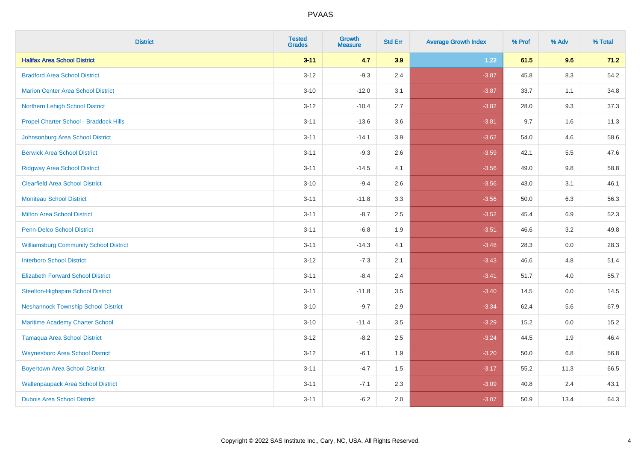| <b>District</b>                               | <b>Tested</b><br><b>Grades</b> | <b>Growth</b><br><b>Measure</b> | <b>Std Err</b> | <b>Average Growth Index</b> | % Prof | % Adv   | % Total |
|-----------------------------------------------|--------------------------------|---------------------------------|----------------|-----------------------------|--------|---------|---------|
| <b>Halifax Area School District</b>           | $3 - 11$                       | 4.7                             | 3.9            | 1.22                        | 61.5   | 9.6     | 71.2    |
| <b>Bradford Area School District</b>          | $3 - 12$                       | $-9.3$                          | 2.4            | $-3.87$                     | 45.8   | $8.3\,$ | 54.2    |
| <b>Marion Center Area School District</b>     | $3 - 10$                       | $-12.0$                         | 3.1            | $-3.87$                     | 33.7   | 1.1     | 34.8    |
| Northern Lehigh School District               | $3 - 12$                       | $-10.4$                         | 2.7            | $-3.82$                     | 28.0   | 9.3     | 37.3    |
| Propel Charter School - Braddock Hills        | $3 - 11$                       | $-13.6$                         | 3.6            | $-3.81$                     | 9.7    | 1.6     | 11.3    |
| Johnsonburg Area School District              | $3 - 11$                       | $-14.1$                         | 3.9            | $-3.62$                     | 54.0   | 4.6     | 58.6    |
| <b>Berwick Area School District</b>           | $3 - 11$                       | $-9.3$                          | 2.6            | $-3.59$                     | 42.1   | 5.5     | 47.6    |
| <b>Ridgway Area School District</b>           | $3 - 11$                       | $-14.5$                         | 4.1            | $-3.56$                     | 49.0   | 9.8     | 58.8    |
| <b>Clearfield Area School District</b>        | $3 - 10$                       | $-9.4$                          | 2.6            | $-3.56$                     | 43.0   | 3.1     | 46.1    |
| <b>Moniteau School District</b>               | $3 - 11$                       | $-11.8$                         | 3.3            | $-3.56$                     | 50.0   | 6.3     | 56.3    |
| <b>Milton Area School District</b>            | $3 - 11$                       | $-8.7$                          | 2.5            | $-3.52$                     | 45.4   | 6.9     | 52.3    |
| <b>Penn-Delco School District</b>             | $3 - 11$                       | $-6.8$                          | 1.9            | $-3.51$                     | 46.6   | 3.2     | 49.8    |
| <b>Williamsburg Community School District</b> | $3 - 11$                       | $-14.3$                         | 4.1            | $-3.48$                     | 28.3   | $0.0\,$ | 28.3    |
| <b>Interboro School District</b>              | $3 - 12$                       | $-7.3$                          | 2.1            | $-3.43$                     | 46.6   | 4.8     | 51.4    |
| <b>Elizabeth Forward School District</b>      | $3 - 11$                       | $-8.4$                          | 2.4            | $-3.41$                     | 51.7   | 4.0     | 55.7    |
| <b>Steelton-Highspire School District</b>     | $3 - 11$                       | $-11.8$                         | 3.5            | $-3.40$                     | 14.5   | $0.0\,$ | 14.5    |
| <b>Neshannock Township School District</b>    | $3 - 10$                       | $-9.7$                          | 2.9            | $-3.34$                     | 62.4   | 5.6     | 67.9    |
| Maritime Academy Charter School               | $3 - 10$                       | $-11.4$                         | 3.5            | $-3.29$                     | 15.2   | 0.0     | 15.2    |
| <b>Tamaqua Area School District</b>           | $3 - 12$                       | $-8.2$                          | 2.5            | $-3.24$                     | 44.5   | 1.9     | 46.4    |
| <b>Waynesboro Area School District</b>        | $3 - 12$                       | $-6.1$                          | 1.9            | $-3.20$                     | 50.0   | 6.8     | 56.8    |
| <b>Boyertown Area School District</b>         | $3 - 11$                       | $-4.7$                          | 1.5            | $-3.17$                     | 55.2   | 11.3    | 66.5    |
| <b>Wallenpaupack Area School District</b>     | $3 - 11$                       | $-7.1$                          | 2.3            | $-3.09$                     | 40.8   | 2.4     | 43.1    |
| <b>Dubois Area School District</b>            | $3 - 11$                       | $-6.2$                          | 2.0            | $-3.07$                     | 50.9   | 13.4    | 64.3    |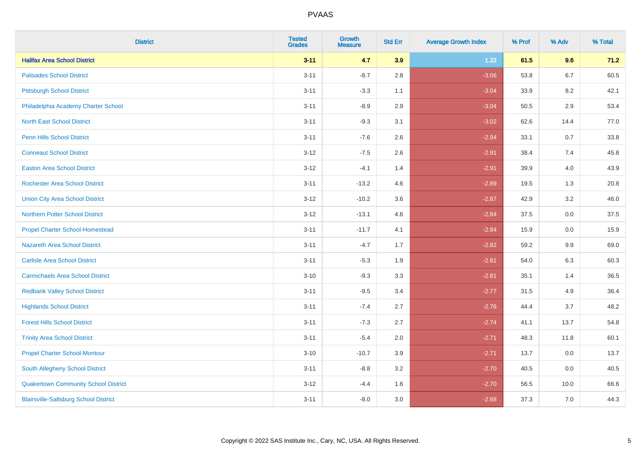| <b>District</b>                              | <b>Tested</b><br><b>Grades</b> | <b>Growth</b><br><b>Measure</b> | <b>Std Err</b> | <b>Average Growth Index</b> | % Prof | % Adv   | % Total |
|----------------------------------------------|--------------------------------|---------------------------------|----------------|-----------------------------|--------|---------|---------|
| <b>Halifax Area School District</b>          | $3 - 11$                       | 4.7                             | 3.9            | 1.22                        | 61.5   | 9.6     | 71.2    |
| <b>Palisades School District</b>             | $3 - 11$                       | $-8.7$                          | 2.8            | $-3.06$                     | 53.8   | $6.7\,$ | 60.5    |
| <b>Pittsburgh School District</b>            | $3 - 11$                       | $-3.3$                          | 1.1            | $-3.04$                     | 33.9   | 8.2     | 42.1    |
| Philadelphia Academy Charter School          | $3 - 11$                       | $-8.9$                          | 2.9            | $-3.04$                     | 50.5   | 2.9     | 53.4    |
| <b>North East School District</b>            | $3 - 11$                       | $-9.3$                          | 3.1            | $-3.02$                     | 62.6   | 14.4    | 77.0    |
| <b>Penn Hills School District</b>            | $3 - 11$                       | $-7.6$                          | 2.6            | $-2.94$                     | 33.1   | 0.7     | 33.8    |
| <b>Conneaut School District</b>              | $3-12$                         | $-7.5$                          | 2.6            | $-2.91$                     | 38.4   | 7.4     | 45.8    |
| <b>Easton Area School District</b>           | $3 - 12$                       | $-4.1$                          | 1.4            | $-2.91$                     | 39.9   | 4.0     | 43.9    |
| <b>Rochester Area School District</b>        | $3 - 11$                       | $-13.2$                         | 4.6            | $-2.89$                     | 19.5   | 1.3     | 20.8    |
| <b>Union City Area School District</b>       | $3 - 12$                       | $-10.2$                         | 3.6            | $-2.87$                     | 42.9   | 3.2     | 46.0    |
| <b>Northern Potter School District</b>       | $3 - 12$                       | $-13.1$                         | 4.6            | $-2.84$                     | 37.5   | 0.0     | 37.5    |
| <b>Propel Charter School-Homestead</b>       | $3 - 11$                       | $-11.7$                         | 4.1            | $-2.84$                     | 15.9   | 0.0     | 15.9    |
| <b>Nazareth Area School District</b>         | $3 - 11$                       | $-4.7$                          | 1.7            | $-2.82$                     | 59.2   | 9.9     | 69.0    |
| <b>Carlisle Area School District</b>         | $3 - 11$                       | $-5.3$                          | 1.9            | $-2.81$                     | 54.0   | 6.3     | 60.3    |
| <b>Carmichaels Area School District</b>      | $3 - 10$                       | $-9.3$                          | 3.3            | $-2.81$                     | 35.1   | 1.4     | 36.5    |
| <b>Redbank Valley School District</b>        | $3 - 11$                       | $-9.5$                          | 3.4            | $-2.77$                     | 31.5   | 4.9     | 36.4    |
| <b>Highlands School District</b>             | $3 - 11$                       | $-7.4$                          | 2.7            | $-2.76$                     | 44.4   | 3.7     | 48.2    |
| <b>Forest Hills School District</b>          | $3 - 11$                       | $-7.3$                          | 2.7            | $-2.74$                     | 41.1   | 13.7    | 54.8    |
| <b>Trinity Area School District</b>          | $3 - 11$                       | $-5.4$                          | 2.0            | $-2.71$                     | 48.3   | 11.8    | 60.1    |
| <b>Propel Charter School-Montour</b>         | $3 - 10$                       | $-10.7$                         | 3.9            | $-2.71$                     | 13.7   | 0.0     | 13.7    |
| South Allegheny School District              | $3 - 11$                       | $-8.8$                          | 3.2            | $-2.70$                     | 40.5   | 0.0     | 40.5    |
| <b>Quakertown Community School District</b>  | $3 - 12$                       | $-4.4$                          | 1.6            | $-2.70$                     | 56.5   | 10.0    | 66.6    |
| <b>Blairsville-Saltsburg School District</b> | $3 - 11$                       | $-8.0$                          | 3.0            | $-2.68$                     | 37.3   | 7.0     | 44.3    |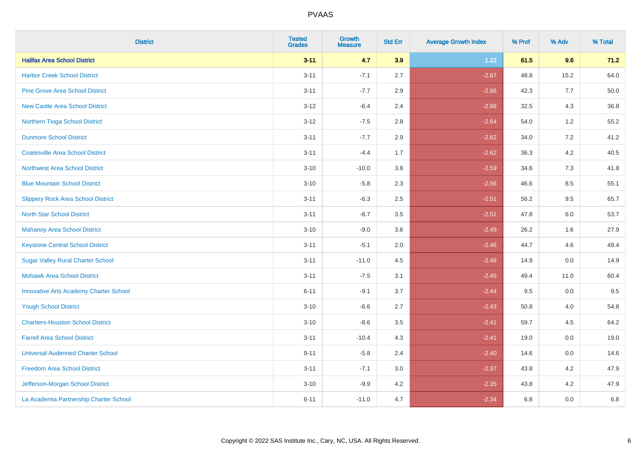| <b>District</b>                               | <b>Tested</b><br><b>Grades</b> | <b>Growth</b><br><b>Measure</b> | <b>Std Err</b> | <b>Average Growth Index</b> | % Prof | % Adv   | % Total |
|-----------------------------------------------|--------------------------------|---------------------------------|----------------|-----------------------------|--------|---------|---------|
| <b>Halifax Area School District</b>           | $3 - 11$                       | 4.7                             | 3.9            | 1.22                        | 61.5   | 9.6     | 71.2    |
| <b>Harbor Creek School District</b>           | $3 - 11$                       | $-7.1$                          | 2.7            | $-2.67$                     | 48.8   | 15.2    | 64.0    |
| <b>Pine Grove Area School District</b>        | $3 - 11$                       | $-7.7$                          | 2.9            | $-2.66$                     | 42.3   | 7.7     | 50.0    |
| <b>New Castle Area School District</b>        | $3 - 12$                       | $-6.4$                          | 2.4            | $-2.66$                     | 32.5   | 4.3     | 36.8    |
| Northern Tioga School District                | $3 - 12$                       | $-7.5$                          | 2.8            | $-2.64$                     | 54.0   | 1.2     | 55.2    |
| <b>Dunmore School District</b>                | $3 - 11$                       | $-7.7$                          | 2.9            | $-2.62$                     | 34.0   | 7.2     | 41.2    |
| <b>Coatesville Area School District</b>       | $3 - 11$                       | $-4.4$                          | 1.7            | $-2.62$                     | 36.3   | 4.2     | 40.5    |
| <b>Northwest Area School District</b>         | $3 - 10$                       | $-10.0$                         | 3.8            | $-2.59$                     | 34.6   | 7.3     | 41.8    |
| <b>Blue Mountain School District</b>          | $3 - 10$                       | $-5.8$                          | 2.3            | $-2.56$                     | 46.6   | 8.5     | 55.1    |
| <b>Slippery Rock Area School District</b>     | $3 - 11$                       | $-6.3$                          | 2.5            | $-2.51$                     | 56.2   | 9.5     | 65.7    |
| <b>North Star School District</b>             | $3 - 11$                       | $-8.7$                          | 3.5            | $-2.51$                     | 47.8   | 6.0     | 53.7    |
| <b>Mahanoy Area School District</b>           | $3 - 10$                       | $-9.0$                          | 3.6            | $-2.49$                     | 26.2   | 1.6     | 27.9    |
| <b>Keystone Central School District</b>       | $3 - 11$                       | $-5.1$                          | 2.0            | $-2.46$                     | 44.7   | 4.6     | 49.4    |
| <b>Sugar Valley Rural Charter School</b>      | $3 - 11$                       | $-11.0$                         | 4.5            | $-2.46$                     | 14.9   | 0.0     | 14.9    |
| <b>Mohawk Area School District</b>            | $3 - 11$                       | $-7.5$                          | 3.1            | $-2.45$                     | 49.4   | 11.0    | 60.4    |
| <b>Innovative Arts Academy Charter School</b> | $6 - 11$                       | $-9.1$                          | 3.7            | $-2.44$                     | 9.5    | $0.0\,$ | 9.5     |
| <b>Yough School District</b>                  | $3 - 10$                       | $-6.6$                          | 2.7            | $-2.43$                     | 50.8   | 4.0     | 54.8    |
| <b>Chartiers-Houston School District</b>      | $3 - 10$                       | $-8.6$                          | 3.5            | $-2.41$                     | 59.7   | 4.5     | 64.2    |
| <b>Farrell Area School District</b>           | $3 - 11$                       | $-10.4$                         | 4.3            | $-2.41$                     | 19.0   | 0.0     | 19.0    |
| <b>Universal Audenried Charter School</b>     | $9 - 11$                       | $-5.8$                          | 2.4            | $-2.40$                     | 14.6   | 0.0     | 14.6    |
| <b>Freedom Area School District</b>           | $3 - 11$                       | $-7.1$                          | 3.0            | $-2.37$                     | 43.8   | 4.2     | 47.9    |
| Jefferson-Morgan School District              | $3 - 10$                       | $-9.9$                          | 4.2            | $-2.35$                     | 43.8   | 4.2     | 47.9    |
| La Academia Partnership Charter School        | $6 - 11$                       | $-11.0$                         | 4.7            | $-2.34$                     | 6.8    | 0.0     | 6.8     |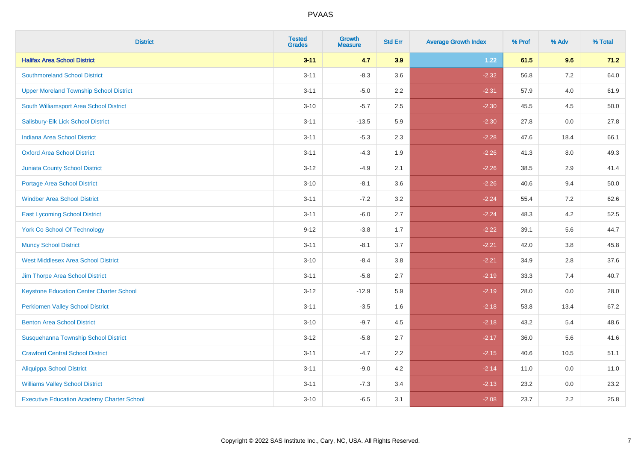| <b>District</b>                                   | <b>Tested</b><br><b>Grades</b> | <b>Growth</b><br><b>Measure</b> | <b>Std Err</b> | <b>Average Growth Index</b> | % Prof | % Adv   | % Total |
|---------------------------------------------------|--------------------------------|---------------------------------|----------------|-----------------------------|--------|---------|---------|
| <b>Halifax Area School District</b>               | $3 - 11$                       | 4.7                             | 3.9            | 1.22                        | 61.5   | 9.6     | 71.2    |
| <b>Southmoreland School District</b>              | $3 - 11$                       | $-8.3$                          | 3.6            | $-2.32$                     | 56.8   | $7.2\,$ | 64.0    |
| <b>Upper Moreland Township School District</b>    | $3 - 11$                       | $-5.0$                          | 2.2            | $-2.31$                     | 57.9   | 4.0     | 61.9    |
| South Williamsport Area School District           | $3 - 10$                       | $-5.7$                          | 2.5            | $-2.30$                     | 45.5   | 4.5     | 50.0    |
| Salisbury-Elk Lick School District                | $3 - 11$                       | $-13.5$                         | 5.9            | $-2.30$                     | 27.8   | 0.0     | 27.8    |
| Indiana Area School District                      | $3 - 11$                       | $-5.3$                          | 2.3            | $-2.28$                     | 47.6   | 18.4    | 66.1    |
| <b>Oxford Area School District</b>                | $3 - 11$                       | $-4.3$                          | 1.9            | $-2.26$                     | 41.3   | 8.0     | 49.3    |
| <b>Juniata County School District</b>             | $3 - 12$                       | $-4.9$                          | 2.1            | $-2.26$                     | 38.5   | 2.9     | 41.4    |
| <b>Portage Area School District</b>               | $3 - 10$                       | $-8.1$                          | 3.6            | $-2.26$                     | 40.6   | 9.4     | 50.0    |
| <b>Windber Area School District</b>               | $3 - 11$                       | $-7.2$                          | 3.2            | $-2.24$                     | 55.4   | 7.2     | 62.6    |
| <b>East Lycoming School District</b>              | $3 - 11$                       | $-6.0$                          | 2.7            | $-2.24$                     | 48.3   | 4.2     | 52.5    |
| <b>York Co School Of Technology</b>               | $9 - 12$                       | $-3.8$                          | 1.7            | $-2.22$                     | 39.1   | 5.6     | 44.7    |
| <b>Muncy School District</b>                      | $3 - 11$                       | $-8.1$                          | 3.7            | $-2.21$                     | 42.0   | $3.8\,$ | 45.8    |
| <b>West Middlesex Area School District</b>        | $3 - 10$                       | $-8.4$                          | $3.8\,$        | $-2.21$                     | 34.9   | 2.8     | 37.6    |
| Jim Thorpe Area School District                   | $3 - 11$                       | $-5.8$                          | 2.7            | $-2.19$                     | 33.3   | 7.4     | 40.7    |
| <b>Keystone Education Center Charter School</b>   | $3 - 12$                       | $-12.9$                         | 5.9            | $-2.19$                     | 28.0   | $0.0\,$ | 28.0    |
| <b>Perkiomen Valley School District</b>           | $3 - 11$                       | $-3.5$                          | 1.6            | $-2.18$                     | 53.8   | 13.4    | 67.2    |
| <b>Benton Area School District</b>                | $3 - 10$                       | $-9.7$                          | 4.5            | $-2.18$                     | 43.2   | 5.4     | 48.6    |
| Susquehanna Township School District              | $3 - 12$                       | $-5.8$                          | 2.7            | $-2.17$                     | 36.0   | 5.6     | 41.6    |
| <b>Crawford Central School District</b>           | $3 - 11$                       | $-4.7$                          | 2.2            | $-2.15$                     | 40.6   | 10.5    | 51.1    |
| <b>Aliquippa School District</b>                  | $3 - 11$                       | $-9.0$                          | 4.2            | $-2.14$                     | 11.0   | 0.0     | 11.0    |
| <b>Williams Valley School District</b>            | $3 - 11$                       | $-7.3$                          | 3.4            | $-2.13$                     | 23.2   | 0.0     | 23.2    |
| <b>Executive Education Academy Charter School</b> | $3 - 10$                       | $-6.5$                          | 3.1            | $-2.08$                     | 23.7   | 2.2     | 25.8    |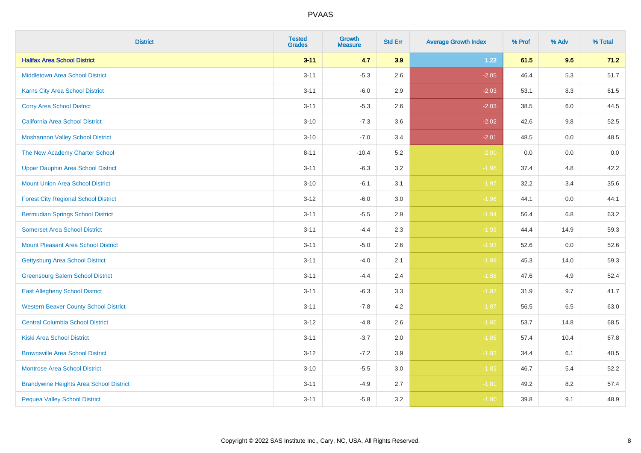| <b>District</b>                                | <b>Tested</b><br><b>Grades</b> | <b>Growth</b><br><b>Measure</b> | <b>Std Err</b> | <b>Average Growth Index</b> | % Prof | % Adv | % Total |
|------------------------------------------------|--------------------------------|---------------------------------|----------------|-----------------------------|--------|-------|---------|
| <b>Halifax Area School District</b>            | $3 - 11$                       | 4.7                             | 3.9            | 1.22                        | 61.5   | 9.6   | 71.2    |
| <b>Middletown Area School District</b>         | $3 - 11$                       | $-5.3$                          | 2.6            | $-2.05$                     | 46.4   | 5.3   | 51.7    |
| <b>Karns City Area School District</b>         | $3 - 11$                       | $-6.0$                          | 2.9            | $-2.03$                     | 53.1   | 8.3   | 61.5    |
| <b>Corry Area School District</b>              | $3 - 11$                       | $-5.3$                          | 2.6            | $-2.03$                     | 38.5   | 6.0   | 44.5    |
| California Area School District                | $3 - 10$                       | $-7.3$                          | 3.6            | $-2.02$                     | 42.6   | 9.8   | 52.5    |
| <b>Moshannon Valley School District</b>        | $3 - 10$                       | $-7.0$                          | 3.4            | $-2.01$                     | 48.5   | 0.0   | 48.5    |
| The New Academy Charter School                 | $8 - 11$                       | $-10.4$                         | 5.2            | $-2.00$                     | 0.0    | 0.0   | $0.0\,$ |
| <b>Upper Dauphin Area School District</b>      | $3 - 11$                       | $-6.3$                          | 3.2            | $-1.98$                     | 37.4   | 4.8   | 42.2    |
| <b>Mount Union Area School District</b>        | $3 - 10$                       | $-6.1$                          | 3.1            | $-1.97$                     | 32.2   | 3.4   | 35.6    |
| <b>Forest City Regional School District</b>    | $3 - 12$                       | $-6.0$                          | 3.0            | $-1.96$                     | 44.1   | 0.0   | 44.1    |
| <b>Bermudian Springs School District</b>       | $3 - 11$                       | $-5.5$                          | 2.9            | $-1.94$                     | 56.4   | 6.8   | 63.2    |
| <b>Somerset Area School District</b>           | $3 - 11$                       | $-4.4$                          | 2.3            | $-1.93$                     | 44.4   | 14.9  | 59.3    |
| <b>Mount Pleasant Area School District</b>     | $3 - 11$                       | $-5.0$                          | 2.6            | $-1.93$                     | 52.6   | 0.0   | 52.6    |
| <b>Gettysburg Area School District</b>         | $3 - 11$                       | $-4.0$                          | 2.1            | $-1.89$                     | 45.3   | 14.0  | 59.3    |
| <b>Greensburg Salem School District</b>        | $3 - 11$                       | $-4.4$                          | 2.4            | $-1.88$                     | 47.6   | 4.9   | 52.4    |
| <b>East Allegheny School District</b>          | $3 - 11$                       | $-6.3$                          | 3.3            | $-1.87$                     | 31.9   | 9.7   | 41.7    |
| <b>Western Beaver County School District</b>   | $3 - 11$                       | $-7.8$                          | 4.2            | $-1.87$                     | 56.5   | 6.5   | 63.0    |
| <b>Central Columbia School District</b>        | $3 - 12$                       | $-4.8$                          | 2.6            | $-1.86$                     | 53.7   | 14.8  | 68.5    |
| <b>Kiski Area School District</b>              | $3 - 11$                       | $-3.7$                          | 2.0            | $-1.86$                     | 57.4   | 10.4  | 67.8    |
| <b>Brownsville Area School District</b>        | $3-12$                         | $-7.2$                          | 3.9            | $-1.83$                     | 34.4   | 6.1   | 40.5    |
| <b>Montrose Area School District</b>           | $3 - 10$                       | $-5.5$                          | 3.0            | $-1.82$                     | 46.7   | 5.4   | 52.2    |
| <b>Brandywine Heights Area School District</b> | $3 - 11$                       | $-4.9$                          | 2.7            | $-1.81$                     | 49.2   | 8.2   | 57.4    |
| <b>Pequea Valley School District</b>           | $3 - 11$                       | $-5.8$                          | 3.2            | $-1.80$                     | 39.8   | 9.1   | 48.9    |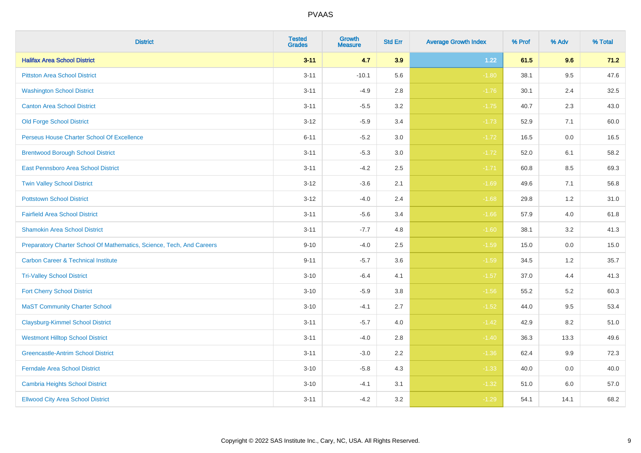| <b>District</b>                                                       | <b>Tested</b><br><b>Grades</b> | Growth<br><b>Measure</b> | <b>Std Err</b> | <b>Average Growth Index</b> | % Prof | % Adv | % Total |
|-----------------------------------------------------------------------|--------------------------------|--------------------------|----------------|-----------------------------|--------|-------|---------|
| <b>Halifax Area School District</b>                                   | $3 - 11$                       | 4.7                      | 3.9            | 1.22                        | 61.5   | 9.6   | 71.2    |
| <b>Pittston Area School District</b>                                  | $3 - 11$                       | $-10.1$                  | 5.6            | $-1.80$                     | 38.1   | 9.5   | 47.6    |
| <b>Washington School District</b>                                     | $3 - 11$                       | $-4.9$                   | 2.8            | $-1.76$                     | 30.1   | 2.4   | 32.5    |
| <b>Canton Area School District</b>                                    | $3 - 11$                       | $-5.5$                   | $3.2\,$        | $-1.75$                     | 40.7   | 2.3   | 43.0    |
| <b>Old Forge School District</b>                                      | $3 - 12$                       | $-5.9$                   | 3.4            | $-1.73$                     | 52.9   | 7.1   | 60.0    |
| Perseus House Charter School Of Excellence                            | $6 - 11$                       | $-5.2$                   | 3.0            | $-1.72$                     | 16.5   | 0.0   | 16.5    |
| <b>Brentwood Borough School District</b>                              | $3 - 11$                       | $-5.3$                   | $3.0\,$        | $-1.72$                     | 52.0   | 6.1   | 58.2    |
| East Pennsboro Area School District                                   | $3 - 11$                       | $-4.2$                   | 2.5            | $-1.71$                     | 60.8   | 8.5   | 69.3    |
| <b>Twin Valley School District</b>                                    | $3 - 12$                       | $-3.6$                   | 2.1            | $-1.69$                     | 49.6   | 7.1   | 56.8    |
| <b>Pottstown School District</b>                                      | $3 - 12$                       | $-4.0$                   | 2.4            | $-1.68$                     | 29.8   | 1.2   | 31.0    |
| <b>Fairfield Area School District</b>                                 | $3 - 11$                       | $-5.6$                   | 3.4            | $-1.66$                     | 57.9   | 4.0   | 61.8    |
| <b>Shamokin Area School District</b>                                  | $3 - 11$                       | $-7.7$                   | 4.8            | $-1.60$                     | 38.1   | 3.2   | 41.3    |
| Preparatory Charter School Of Mathematics, Science, Tech, And Careers | $9 - 10$                       | $-4.0$                   | 2.5            | $-1.59$                     | 15.0   | 0.0   | 15.0    |
| <b>Carbon Career &amp; Technical Institute</b>                        | $9 - 11$                       | $-5.7$                   | 3.6            | $-1.59$                     | 34.5   | 1.2   | 35.7    |
| <b>Tri-Valley School District</b>                                     | $3 - 10$                       | $-6.4$                   | 4.1            | $-1.57$                     | 37.0   | 4.4   | 41.3    |
| <b>Fort Cherry School District</b>                                    | $3 - 10$                       | $-5.9$                   | 3.8            | $-1.56$                     | 55.2   | 5.2   | 60.3    |
| <b>MaST Community Charter School</b>                                  | $3 - 10$                       | $-4.1$                   | 2.7            | $-1.52$                     | 44.0   | 9.5   | 53.4    |
| <b>Claysburg-Kimmel School District</b>                               | $3 - 11$                       | $-5.7$                   | 4.0            | $-1.42$                     | 42.9   | 8.2   | 51.0    |
| <b>Westmont Hilltop School District</b>                               | $3 - 11$                       | $-4.0$                   | 2.8            | $-1.40$                     | 36.3   | 13.3  | 49.6    |
| <b>Greencastle-Antrim School District</b>                             | $3 - 11$                       | $-3.0$                   | 2.2            | $-1.36$                     | 62.4   | 9.9   | 72.3    |
| <b>Ferndale Area School District</b>                                  | $3 - 10$                       | $-5.8$                   | 4.3            | $-1.33$                     | 40.0   | 0.0   | 40.0    |
| <b>Cambria Heights School District</b>                                | $3 - 10$                       | $-4.1$                   | 3.1            | $-1.32$                     | 51.0   | 6.0   | 57.0    |
| <b>Ellwood City Area School District</b>                              | $3 - 11$                       | $-4.2$                   | 3.2            | $-1.29$                     | 54.1   | 14.1  | 68.2    |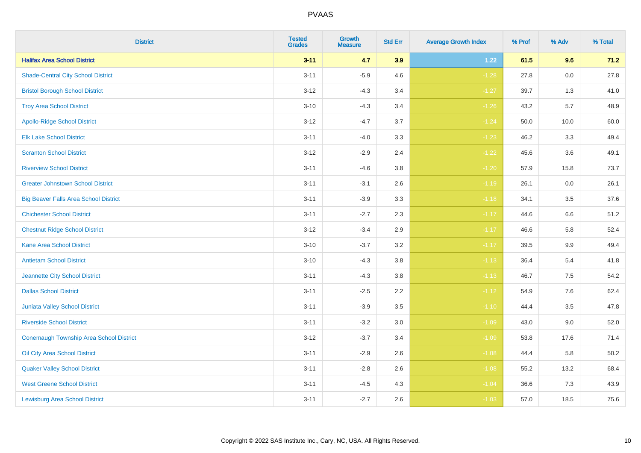| <b>District</b>                              | <b>Tested</b><br><b>Grades</b> | <b>Growth</b><br><b>Measure</b> | <b>Std Err</b> | <b>Average Growth Index</b> | % Prof | % Adv   | % Total |
|----------------------------------------------|--------------------------------|---------------------------------|----------------|-----------------------------|--------|---------|---------|
| <b>Halifax Area School District</b>          | $3 - 11$                       | 4.7                             | 3.9            | 1.22                        | 61.5   | 9.6     | 71.2    |
| <b>Shade-Central City School District</b>    | $3 - 11$                       | $-5.9$                          | 4.6            | $-1.28$                     | 27.8   | 0.0     | 27.8    |
| <b>Bristol Borough School District</b>       | $3 - 12$                       | $-4.3$                          | 3.4            | $-1.27$                     | 39.7   | 1.3     | 41.0    |
| <b>Troy Area School District</b>             | $3 - 10$                       | $-4.3$                          | 3.4            | $-1.26$                     | 43.2   | 5.7     | 48.9    |
| <b>Apollo-Ridge School District</b>          | $3 - 12$                       | $-4.7$                          | 3.7            | $-1.24$                     | 50.0   | 10.0    | 60.0    |
| <b>Elk Lake School District</b>              | $3 - 11$                       | $-4.0$                          | 3.3            | $-1.23$                     | 46.2   | 3.3     | 49.4    |
| <b>Scranton School District</b>              | $3 - 12$                       | $-2.9$                          | 2.4            | $-1.22$                     | 45.6   | 3.6     | 49.1    |
| <b>Riverview School District</b>             | $3 - 11$                       | $-4.6$                          | 3.8            | $-1.20$                     | 57.9   | 15.8    | 73.7    |
| <b>Greater Johnstown School District</b>     | $3 - 11$                       | $-3.1$                          | 2.6            | $-1.19$                     | 26.1   | 0.0     | 26.1    |
| <b>Big Beaver Falls Area School District</b> | $3 - 11$                       | $-3.9$                          | 3.3            | $-1.18$                     | 34.1   | 3.5     | 37.6    |
| <b>Chichester School District</b>            | $3 - 11$                       | $-2.7$                          | 2.3            | $-1.17$                     | 44.6   | 6.6     | 51.2    |
| <b>Chestnut Ridge School District</b>        | $3 - 12$                       | $-3.4$                          | 2.9            | $-1.17$                     | 46.6   | 5.8     | 52.4    |
| Kane Area School District                    | $3 - 10$                       | $-3.7$                          | $3.2\,$        | $-1.17$                     | 39.5   | $9.9\,$ | 49.4    |
| <b>Antietam School District</b>              | $3 - 10$                       | $-4.3$                          | 3.8            | $-1.13$                     | 36.4   | 5.4     | 41.8    |
| Jeannette City School District               | $3 - 11$                       | $-4.3$                          | 3.8            | $-1.13$                     | 46.7   | 7.5     | 54.2    |
| <b>Dallas School District</b>                | $3 - 11$                       | $-2.5$                          | 2.2            | $-1.12$                     | 54.9   | 7.6     | 62.4    |
| Juniata Valley School District               | $3 - 11$                       | $-3.9$                          | 3.5            | $-1.10$                     | 44.4   | 3.5     | 47.8    |
| <b>Riverside School District</b>             | $3 - 11$                       | $-3.2$                          | 3.0            | $-1.09$                     | 43.0   | 9.0     | 52.0    |
| Conemaugh Township Area School District      | $3 - 12$                       | $-3.7$                          | 3.4            | $-1.09$                     | 53.8   | 17.6    | 71.4    |
| Oil City Area School District                | $3 - 11$                       | $-2.9$                          | 2.6            | $-1.08$                     | 44.4   | 5.8     | 50.2    |
| <b>Quaker Valley School District</b>         | $3 - 11$                       | $-2.8$                          | 2.6            | $-1.08$                     | 55.2   | 13.2    | 68.4    |
| <b>West Greene School District</b>           | $3 - 11$                       | $-4.5$                          | 4.3            | $-1.04$                     | 36.6   | 7.3     | 43.9    |
| <b>Lewisburg Area School District</b>        | $3 - 11$                       | $-2.7$                          | 2.6            | $-1.03$                     | 57.0   | 18.5    | 75.6    |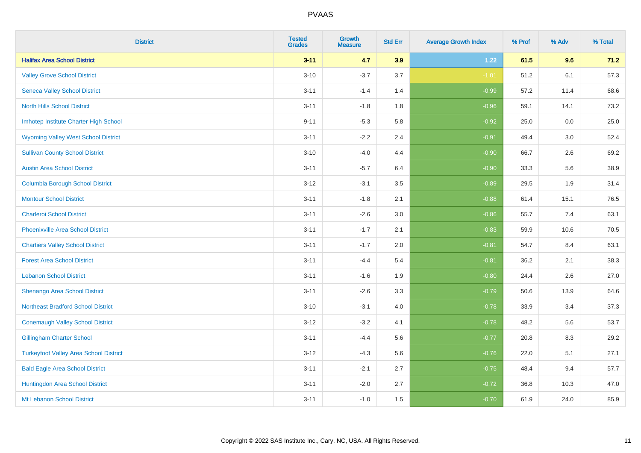| <b>District</b>                               | <b>Tested</b><br><b>Grades</b> | <b>Growth</b><br><b>Measure</b> | <b>Std Err</b> | <b>Average Growth Index</b> | % Prof | % Adv | % Total |
|-----------------------------------------------|--------------------------------|---------------------------------|----------------|-----------------------------|--------|-------|---------|
| <b>Halifax Area School District</b>           | $3 - 11$                       | 4.7                             | 3.9            | 1.22                        | 61.5   | 9.6   | 71.2    |
| <b>Valley Grove School District</b>           | $3 - 10$                       | $-3.7$                          | 3.7            | $-1.01$                     | 51.2   | 6.1   | 57.3    |
| <b>Seneca Valley School District</b>          | $3 - 11$                       | $-1.4$                          | 1.4            | $-0.99$                     | 57.2   | 11.4  | 68.6    |
| <b>North Hills School District</b>            | $3 - 11$                       | $-1.8$                          | 1.8            | $-0.96$                     | 59.1   | 14.1  | 73.2    |
| Imhotep Institute Charter High School         | $9 - 11$                       | $-5.3$                          | 5.8            | $-0.92$                     | 25.0   | 0.0   | 25.0    |
| <b>Wyoming Valley West School District</b>    | $3 - 11$                       | $-2.2$                          | 2.4            | $-0.91$                     | 49.4   | 3.0   | 52.4    |
| <b>Sullivan County School District</b>        | $3 - 10$                       | $-4.0$                          | 4.4            | $-0.90$                     | 66.7   | 2.6   | 69.2    |
| <b>Austin Area School District</b>            | $3 - 11$                       | $-5.7$                          | 6.4            | $-0.90$                     | 33.3   | 5.6   | 38.9    |
| <b>Columbia Borough School District</b>       | $3 - 12$                       | $-3.1$                          | 3.5            | $-0.89$                     | 29.5   | 1.9   | 31.4    |
| <b>Montour School District</b>                | $3 - 11$                       | $-1.8$                          | 2.1            | $-0.88$                     | 61.4   | 15.1  | 76.5    |
| <b>Charleroi School District</b>              | $3 - 11$                       | $-2.6$                          | 3.0            | $-0.86$                     | 55.7   | 7.4   | 63.1    |
| <b>Phoenixville Area School District</b>      | $3 - 11$                       | $-1.7$                          | 2.1            | $-0.83$                     | 59.9   | 10.6  | 70.5    |
| <b>Chartiers Valley School District</b>       | $3 - 11$                       | $-1.7$                          | 2.0            | $-0.81$                     | 54.7   | 8.4   | 63.1    |
| <b>Forest Area School District</b>            | $3 - 11$                       | $-4.4$                          | 5.4            | $-0.81$                     | 36.2   | 2.1   | 38.3    |
| <b>Lebanon School District</b>                | $3 - 11$                       | $-1.6$                          | 1.9            | $-0.80$                     | 24.4   | 2.6   | 27.0    |
| Shenango Area School District                 | $3 - 11$                       | $-2.6$                          | 3.3            | $-0.79$                     | 50.6   | 13.9  | 64.6    |
| <b>Northeast Bradford School District</b>     | $3 - 10$                       | $-3.1$                          | 4.0            | $-0.78$                     | 33.9   | 3.4   | 37.3    |
| <b>Conemaugh Valley School District</b>       | $3 - 12$                       | $-3.2$                          | 4.1            | $-0.78$                     | 48.2   | 5.6   | 53.7    |
| <b>Gillingham Charter School</b>              | $3 - 11$                       | $-4.4$                          | 5.6            | $-0.77$                     | 20.8   | 8.3   | 29.2    |
| <b>Turkeyfoot Valley Area School District</b> | $3 - 12$                       | $-4.3$                          | 5.6            | $-0.76$                     | 22.0   | 5.1   | 27.1    |
| <b>Bald Eagle Area School District</b>        | $3 - 11$                       | $-2.1$                          | 2.7            | $-0.75$                     | 48.4   | 9.4   | 57.7    |
| Huntingdon Area School District               | $3 - 11$                       | $-2.0$                          | 2.7            | $-0.72$                     | 36.8   | 10.3  | 47.0    |
| Mt Lebanon School District                    | $3 - 11$                       | $-1.0$                          | 1.5            | $-0.70$                     | 61.9   | 24.0  | 85.9    |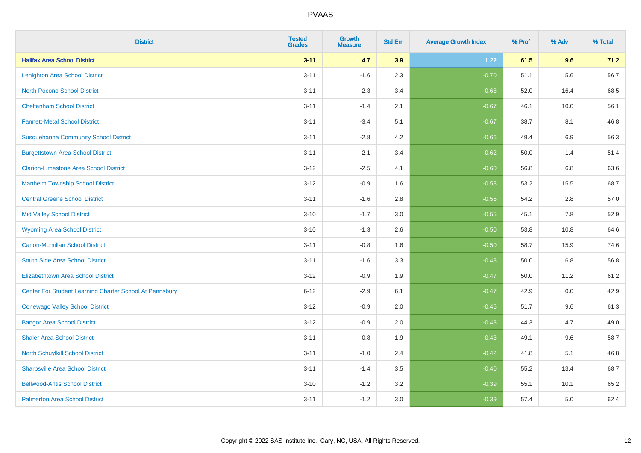| <b>District</b>                                         | <b>Tested</b><br><b>Grades</b> | <b>Growth</b><br><b>Measure</b> | <b>Std Err</b> | <b>Average Growth Index</b> | % Prof | % Adv | % Total |
|---------------------------------------------------------|--------------------------------|---------------------------------|----------------|-----------------------------|--------|-------|---------|
| <b>Halifax Area School District</b>                     | $3 - 11$                       | 4.7                             | 3.9            | 1.22                        | 61.5   | 9.6   | 71.2    |
| <b>Lehighton Area School District</b>                   | $3 - 11$                       | $-1.6$                          | 2.3            | $-0.70$                     | 51.1   | 5.6   | 56.7    |
| <b>North Pocono School District</b>                     | $3 - 11$                       | $-2.3$                          | 3.4            | $-0.68$                     | 52.0   | 16.4  | 68.5    |
| <b>Cheltenham School District</b>                       | $3 - 11$                       | $-1.4$                          | 2.1            | $-0.67$                     | 46.1   | 10.0  | 56.1    |
| <b>Fannett-Metal School District</b>                    | $3 - 11$                       | $-3.4$                          | 5.1            | $-0.67$                     | 38.7   | 8.1   | 46.8    |
| <b>Susquehanna Community School District</b>            | $3 - 11$                       | $-2.8$                          | 4.2            | $-0.66$                     | 49.4   | 6.9   | 56.3    |
| <b>Burgettstown Area School District</b>                | $3 - 11$                       | $-2.1$                          | 3.4            | $-0.62$                     | 50.0   | 1.4   | 51.4    |
| <b>Clarion-Limestone Area School District</b>           | $3 - 12$                       | $-2.5$                          | 4.1            | $-0.60$                     | 56.8   | 6.8   | 63.6    |
| <b>Manheim Township School District</b>                 | $3 - 12$                       | $-0.9$                          | 1.6            | $-0.58$                     | 53.2   | 15.5  | 68.7    |
| <b>Central Greene School District</b>                   | $3 - 11$                       | $-1.6$                          | 2.8            | $-0.55$                     | 54.2   | 2.8   | 57.0    |
| <b>Mid Valley School District</b>                       | $3 - 10$                       | $-1.7$                          | 3.0            | $-0.55$                     | 45.1   | 7.8   | 52.9    |
| <b>Wyoming Area School District</b>                     | $3 - 10$                       | $-1.3$                          | 2.6            | $-0.50$                     | 53.8   | 10.8  | 64.6    |
| <b>Canon-Mcmillan School District</b>                   | $3 - 11$                       | $-0.8$                          | 1.6            | $-0.50$                     | 58.7   | 15.9  | 74.6    |
| South Side Area School District                         | $3 - 11$                       | $-1.6$                          | 3.3            | $-0.48$                     | 50.0   | 6.8   | 56.8    |
| <b>Elizabethtown Area School District</b>               | $3 - 12$                       | $-0.9$                          | 1.9            | $-0.47$                     | 50.0   | 11.2  | 61.2    |
| Center For Student Learning Charter School At Pennsbury | $6 - 12$                       | $-2.9$                          | 6.1            | $-0.47$                     | 42.9   | 0.0   | 42.9    |
| <b>Conewago Valley School District</b>                  | $3 - 12$                       | $-0.9$                          | 2.0            | $-0.45$                     | 51.7   | 9.6   | 61.3    |
| <b>Bangor Area School District</b>                      | $3 - 12$                       | $-0.9$                          | 2.0            | $-0.43$                     | 44.3   | 4.7   | 49.0    |
| <b>Shaler Area School District</b>                      | $3 - 11$                       | $-0.8$                          | 1.9            | $-0.43$                     | 49.1   | 9.6   | 58.7    |
| North Schuylkill School District                        | $3 - 11$                       | $-1.0$                          | 2.4            | $-0.42$                     | 41.8   | 5.1   | 46.8    |
| <b>Sharpsville Area School District</b>                 | $3 - 11$                       | $-1.4$                          | 3.5            | $-0.40$                     | 55.2   | 13.4  | 68.7    |
| <b>Bellwood-Antis School District</b>                   | $3 - 10$                       | $-1.2$                          | 3.2            | $-0.39$                     | 55.1   | 10.1  | 65.2    |
| <b>Palmerton Area School District</b>                   | $3 - 11$                       | $-1.2$                          | 3.0            | $-0.39$                     | 57.4   | 5.0   | 62.4    |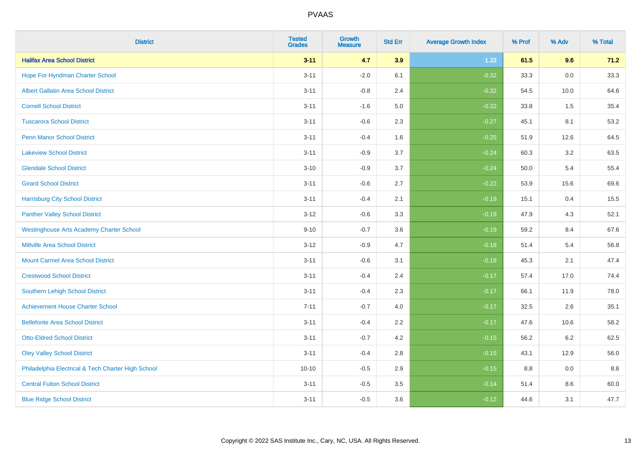| <b>District</b>                                    | <b>Tested</b><br><b>Grades</b> | <b>Growth</b><br><b>Measure</b> | <b>Std Err</b> | <b>Average Growth Index</b> | % Prof | % Adv   | % Total |
|----------------------------------------------------|--------------------------------|---------------------------------|----------------|-----------------------------|--------|---------|---------|
| <b>Halifax Area School District</b>                | $3 - 11$                       | 4.7                             | 3.9            | 1.22                        | 61.5   | 9.6     | 71.2    |
| Hope For Hyndman Charter School                    | $3 - 11$                       | $-2.0$                          | 6.1            | $-0.32$                     | 33.3   | 0.0     | 33.3    |
| <b>Albert Gallatin Area School District</b>        | $3 - 11$                       | $-0.8$                          | 2.4            | $-0.32$                     | 54.5   | 10.0    | 64.6    |
| <b>Cornell School District</b>                     | $3 - 11$                       | $-1.6$                          | 5.0            | $-0.32$                     | 33.8   | 1.5     | 35.4    |
| <b>Tuscarora School District</b>                   | $3 - 11$                       | $-0.6$                          | 2.3            | $-0.27$                     | 45.1   | 8.1     | 53.2    |
| <b>Penn Manor School District</b>                  | $3 - 11$                       | $-0.4$                          | 1.6            | $-0.25$                     | 51.9   | 12.6    | 64.5    |
| <b>Lakeview School District</b>                    | $3 - 11$                       | $-0.9$                          | 3.7            | $-0.24$                     | 60.3   | 3.2     | 63.5    |
| <b>Glendale School District</b>                    | $3 - 10$                       | $-0.9$                          | 3.7            | $-0.24$                     | 50.0   | 5.4     | 55.4    |
| <b>Girard School District</b>                      | $3 - 11$                       | $-0.6$                          | 2.7            | $-0.22$                     | 53.9   | 15.6    | 69.6    |
| <b>Harrisburg City School District</b>             | $3 - 11$                       | $-0.4$                          | 2.1            | $-0.19$                     | 15.1   | 0.4     | 15.5    |
| <b>Panther Valley School District</b>              | $3 - 12$                       | $-0.6$                          | 3.3            | $-0.19$                     | 47.9   | 4.3     | 52.1    |
| <b>Westinghouse Arts Academy Charter School</b>    | $9 - 10$                       | $-0.7$                          | 3.6            | $-0.19$                     | 59.2   | 8.4     | 67.6    |
| <b>Millville Area School District</b>              | $3 - 12$                       | $-0.9$                          | 4.7            | $-0.18$                     | 51.4   | 5.4     | 56.8    |
| <b>Mount Carmel Area School District</b>           | $3 - 11$                       | $-0.6$                          | 3.1            | $-0.18$                     | 45.3   | 2.1     | 47.4    |
| <b>Crestwood School District</b>                   | $3 - 11$                       | $-0.4$                          | 2.4            | $-0.17$                     | 57.4   | 17.0    | 74.4    |
| Southern Lehigh School District                    | $3 - 11$                       | $-0.4$                          | 2.3            | $-0.17$                     | 66.1   | 11.9    | 78.0    |
| <b>Achievement House Charter School</b>            | $7 - 11$                       | $-0.7$                          | 4.0            | $-0.17$                     | 32.5   | $2.6\,$ | 35.1    |
| <b>Bellefonte Area School District</b>             | $3 - 11$                       | $-0.4$                          | 2.2            | $-0.17$                     | 47.6   | 10.6    | 58.2    |
| <b>Otto-Eldred School District</b>                 | $3 - 11$                       | $-0.7$                          | 4.2            | $-0.15$                     | 56.2   | $6.2\,$ | 62.5    |
| <b>Oley Valley School District</b>                 | $3 - 11$                       | $-0.4$                          | 2.8            | $-0.15$                     | 43.1   | 12.9    | 56.0    |
| Philadelphia Electrical & Tech Charter High School | $10 - 10$                      | $-0.5$                          | 2.9            | $-0.15$                     | 8.8    | 0.0     | 8.8     |
| <b>Central Fulton School District</b>              | $3 - 11$                       | $-0.5$                          | 3.5            | $-0.14$                     | 51.4   | 8.6     | 60.0    |
| <b>Blue Ridge School District</b>                  | $3 - 11$                       | $-0.5$                          | 3.6            | $-0.12$                     | 44.6   | 3.1     | 47.7    |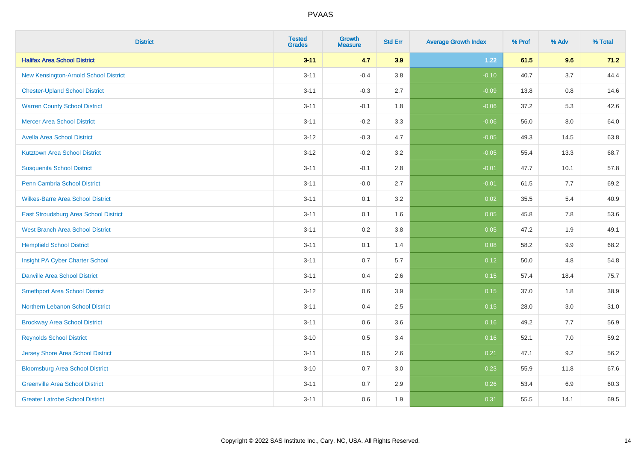| <b>District</b>                          | <b>Tested</b><br><b>Grades</b> | <b>Growth</b><br><b>Measure</b> | <b>Std Err</b> | <b>Average Growth Index</b> | % Prof | % Adv | % Total |
|------------------------------------------|--------------------------------|---------------------------------|----------------|-----------------------------|--------|-------|---------|
| <b>Halifax Area School District</b>      | $3 - 11$                       | 4.7                             | 3.9            | 1.22                        | 61.5   | 9.6   | 71.2    |
| New Kensington-Arnold School District    | $3 - 11$                       | $-0.4$                          | 3.8            | $-0.10$                     | 40.7   | 3.7   | 44.4    |
| <b>Chester-Upland School District</b>    | $3 - 11$                       | $-0.3$                          | 2.7            | $-0.09$                     | 13.8   | 0.8   | 14.6    |
| <b>Warren County School District</b>     | $3 - 11$                       | $-0.1$                          | 1.8            | $-0.06$                     | 37.2   | 5.3   | 42.6    |
| <b>Mercer Area School District</b>       | $3 - 11$                       | $-0.2$                          | 3.3            | $-0.06$                     | 56.0   | 8.0   | 64.0    |
| <b>Avella Area School District</b>       | $3 - 12$                       | $-0.3$                          | 4.7            | $-0.05$                     | 49.3   | 14.5  | 63.8    |
| <b>Kutztown Area School District</b>     | $3 - 12$                       | $-0.2$                          | 3.2            | $-0.05$                     | 55.4   | 13.3  | 68.7    |
| <b>Susquenita School District</b>        | $3 - 11$                       | $-0.1$                          | 2.8            | $-0.01$                     | 47.7   | 10.1  | 57.8    |
| <b>Penn Cambria School District</b>      | $3 - 11$                       | $-0.0$                          | 2.7            | $-0.01$                     | 61.5   | 7.7   | 69.2    |
| <b>Wilkes-Barre Area School District</b> | $3 - 11$                       | 0.1                             | 3.2            | 0.02                        | 35.5   | 5.4   | 40.9    |
| East Stroudsburg Area School District    | $3 - 11$                       | 0.1                             | 1.6            | 0.05                        | 45.8   | 7.8   | 53.6    |
| <b>West Branch Area School District</b>  | $3 - 11$                       | 0.2                             | 3.8            | 0.05                        | 47.2   | 1.9   | 49.1    |
| <b>Hempfield School District</b>         | $3 - 11$                       | 0.1                             | 1.4            | 0.08                        | 58.2   | 9.9   | 68.2    |
| Insight PA Cyber Charter School          | $3 - 11$                       | 0.7                             | 5.7            | 0.12                        | 50.0   | 4.8   | 54.8    |
| <b>Danville Area School District</b>     | $3 - 11$                       | 0.4                             | 2.6            | 0.15                        | 57.4   | 18.4  | 75.7    |
| <b>Smethport Area School District</b>    | $3 - 12$                       | 0.6                             | 3.9            | 0.15                        | 37.0   | 1.8   | 38.9    |
| <b>Northern Lebanon School District</b>  | $3 - 11$                       | 0.4                             | 2.5            | 0.15                        | 28.0   | 3.0   | 31.0    |
| <b>Brockway Area School District</b>     | $3 - 11$                       | 0.6                             | 3.6            | 0.16                        | 49.2   | 7.7   | 56.9    |
| <b>Reynolds School District</b>          | $3 - 10$                       | 0.5                             | 3.4            | 0.16                        | 52.1   | 7.0   | 59.2    |
| <b>Jersey Shore Area School District</b> | $3 - 11$                       | 0.5                             | 2.6            | 0.21                        | 47.1   | 9.2   | 56.2    |
| <b>Bloomsburg Area School District</b>   | $3 - 10$                       | 0.7                             | 3.0            | 0.23                        | 55.9   | 11.8  | 67.6    |
| <b>Greenville Area School District</b>   | $3 - 11$                       | 0.7                             | 2.9            | 0.26                        | 53.4   | 6.9   | 60.3    |
| <b>Greater Latrobe School District</b>   | $3 - 11$                       | 0.6                             | 1.9            | 0.31                        | 55.5   | 14.1  | 69.5    |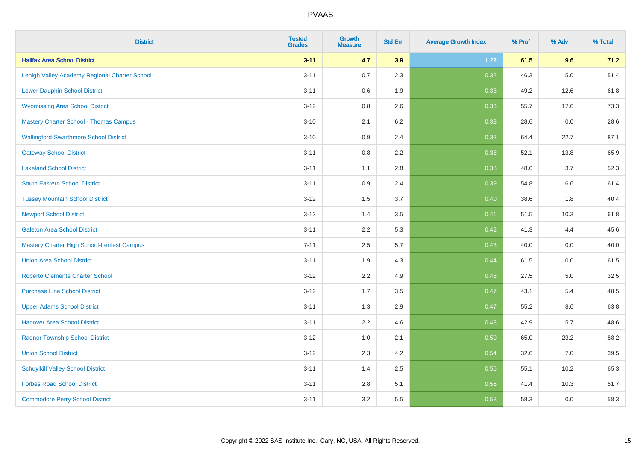| <b>District</b>                               | <b>Tested</b><br><b>Grades</b> | <b>Growth</b><br><b>Measure</b> | <b>Std Err</b> | <b>Average Growth Index</b> | % Prof | % Adv   | % Total |
|-----------------------------------------------|--------------------------------|---------------------------------|----------------|-----------------------------|--------|---------|---------|
| <b>Halifax Area School District</b>           | $3 - 11$                       | 4.7                             | 3.9            | 1.22                        | 61.5   | 9.6     | 71.2    |
| Lehigh Valley Academy Regional Charter School | $3 - 11$                       | 0.7                             | 2.3            | 0.32                        | 46.3   | $5.0\,$ | 51.4    |
| <b>Lower Dauphin School District</b>          | $3 - 11$                       | 0.6                             | 1.9            | 0.33                        | 49.2   | 12.6    | 61.8    |
| <b>Wyomissing Area School District</b>        | $3 - 12$                       | 0.8                             | 2.6            | 0.33                        | 55.7   | 17.6    | 73.3    |
| <b>Mastery Charter School - Thomas Campus</b> | $3 - 10$                       | 2.1                             | 6.2            | 0.33                        | 28.6   | 0.0     | 28.6    |
| <b>Wallingford-Swarthmore School District</b> | $3 - 10$                       | 0.9                             | 2.4            | 0.38                        | 64.4   | 22.7    | 87.1    |
| <b>Gateway School District</b>                | $3 - 11$                       | 0.8                             | 2.2            | 0.38                        | 52.1   | 13.8    | 65.9    |
| <b>Lakeland School District</b>               | $3 - 11$                       | 1.1                             | 2.8            | 0.38                        | 48.6   | 3.7     | 52.3    |
| South Eastern School District                 | $3 - 11$                       | 0.9                             | 2.4            | 0.39                        | 54.8   | 6.6     | 61.4    |
| <b>Tussey Mountain School District</b>        | $3 - 12$                       | 1.5                             | 3.7            | 0.40                        | 38.6   | 1.8     | 40.4    |
| <b>Newport School District</b>                | $3 - 12$                       | 1.4                             | 3.5            | 0.41                        | 51.5   | 10.3    | 61.8    |
| <b>Galeton Area School District</b>           | $3 - 11$                       | 2.2                             | 5.3            | 0.42                        | 41.3   | 4.4     | 45.6    |
| Mastery Charter High School-Lenfest Campus    | $7 - 11$                       | 2.5                             | 5.7            | 0.43                        | 40.0   | 0.0     | 40.0    |
| <b>Union Area School District</b>             | $3 - 11$                       | 1.9                             | 4.3            | 0.44                        | 61.5   | 0.0     | 61.5    |
| <b>Roberto Clemente Charter School</b>        | $3 - 12$                       | 2.2                             | 4.9            | 0.45                        | 27.5   | 5.0     | 32.5    |
| <b>Purchase Line School District</b>          | $3 - 12$                       | 1.7                             | 3.5            | 0.47                        | 43.1   | 5.4     | 48.5    |
| <b>Upper Adams School District</b>            | $3 - 11$                       | 1.3                             | 2.9            | 0.47                        | 55.2   | 8.6     | 63.8    |
| <b>Hanover Area School District</b>           | $3 - 11$                       | 2.2                             | 4.6            | 0.48                        | 42.9   | 5.7     | 48.6    |
| <b>Radnor Township School District</b>        | $3 - 12$                       | 1.0                             | 2.1            | 0.50                        | 65.0   | 23.2    | 88.2    |
| <b>Union School District</b>                  | $3 - 12$                       | 2.3                             | 4.2            | 0.54                        | 32.6   | 7.0     | 39.5    |
| <b>Schuylkill Valley School District</b>      | $3 - 11$                       | 1.4                             | 2.5            | 0.56                        | 55.1   | 10.2    | 65.3    |
| <b>Forbes Road School District</b>            | $3 - 11$                       | 2.8                             | 5.1            | 0.56                        | 41.4   | 10.3    | 51.7    |
| <b>Commodore Perry School District</b>        | $3 - 11$                       | 3.2                             | 5.5            | 0.58                        | 58.3   | 0.0     | 58.3    |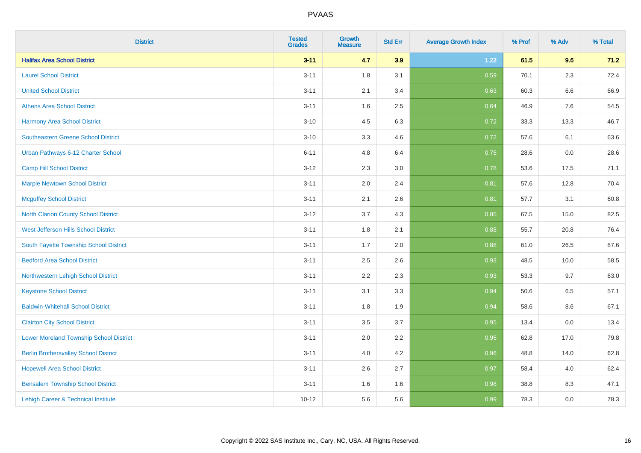| <b>District</b>                                | <b>Tested</b><br><b>Grades</b> | <b>Growth</b><br><b>Measure</b> | <b>Std Err</b> | <b>Average Growth Index</b> | % Prof | % Adv   | % Total |
|------------------------------------------------|--------------------------------|---------------------------------|----------------|-----------------------------|--------|---------|---------|
| <b>Halifax Area School District</b>            | $3 - 11$                       | 4.7                             | 3.9            | 1.22                        | 61.5   | 9.6     | 71.2    |
| <b>Laurel School District</b>                  | $3 - 11$                       | 1.8                             | 3.1            | 0.59                        | 70.1   | $2.3\,$ | 72.4    |
| <b>United School District</b>                  | $3 - 11$                       | 2.1                             | 3.4            | 0.63                        | 60.3   | 6.6     | 66.9    |
| <b>Athens Area School District</b>             | $3 - 11$                       | 1.6                             | 2.5            | 0.64                        | 46.9   | 7.6     | 54.5    |
| <b>Harmony Area School District</b>            | $3 - 10$                       | 4.5                             | 6.3            | 0.72                        | 33.3   | 13.3    | 46.7    |
| Southeastern Greene School District            | $3 - 10$                       | 3.3                             | 4.6            | 0.72                        | 57.6   | 6.1     | 63.6    |
| Urban Pathways 6-12 Charter School             | $6 - 11$                       | 4.8                             | 6.4            | 0.75                        | 28.6   | 0.0     | 28.6    |
| <b>Camp Hill School District</b>               | $3 - 12$                       | 2.3                             | 3.0            | 0.78                        | 53.6   | 17.5    | 71.1    |
| <b>Marple Newtown School District</b>          | $3 - 11$                       | 2.0                             | 2.4            | 0.81                        | 57.6   | 12.8    | 70.4    |
| <b>Mcguffey School District</b>                | $3 - 11$                       | 2.1                             | 2.6            | 0.81                        | 57.7   | 3.1     | 60.8    |
| North Clarion County School District           | $3 - 12$                       | 3.7                             | 4.3            | 0.85                        | 67.5   | 15.0    | 82.5    |
| West Jefferson Hills School District           | $3 - 11$                       | 1.8                             | 2.1            | 0.88                        | 55.7   | 20.8    | 76.4    |
| South Fayette Township School District         | $3 - 11$                       | 1.7                             | 2.0            | 0.88                        | 61.0   | 26.5    | 87.6    |
| <b>Bedford Area School District</b>            | $3 - 11$                       | 2.5                             | 2.6            | 0.93                        | 48.5   | 10.0    | 58.5    |
| Northwestern Lehigh School District            | $3 - 11$                       | 2.2                             | 2.3            | 0.93                        | 53.3   | 9.7     | 63.0    |
| <b>Keystone School District</b>                | $3 - 11$                       | 3.1                             | 3.3            | 0.94                        | 50.6   | 6.5     | 57.1    |
| <b>Baldwin-Whitehall School District</b>       | $3 - 11$                       | 1.8                             | 1.9            | 0.94                        | 58.6   | 8.6     | 67.1    |
| <b>Clairton City School District</b>           | $3 - 11$                       | 3.5                             | 3.7            | 0.95                        | 13.4   | 0.0     | 13.4    |
| <b>Lower Moreland Township School District</b> | $3 - 11$                       | 2.0                             | 2.2            | 0.95                        | 62.8   | 17.0    | 79.8    |
| <b>Berlin Brothersvalley School District</b>   | $3 - 11$                       | 4.0                             | 4.2            | 0.96                        | 48.8   | 14.0    | 62.8    |
| <b>Hopewell Area School District</b>           | $3 - 11$                       | 2.6                             | 2.7            | 0.97                        | 58.4   | 4.0     | 62.4    |
| <b>Bensalem Township School District</b>       | $3 - 11$                       | 1.6                             | 1.6            | 0.98                        | 38.8   | 8.3     | 47.1    |
| Lehigh Career & Technical Institute            | $10 - 12$                      | 5.6                             | 5.6            | 0.99                        | 78.3   | 0.0     | 78.3    |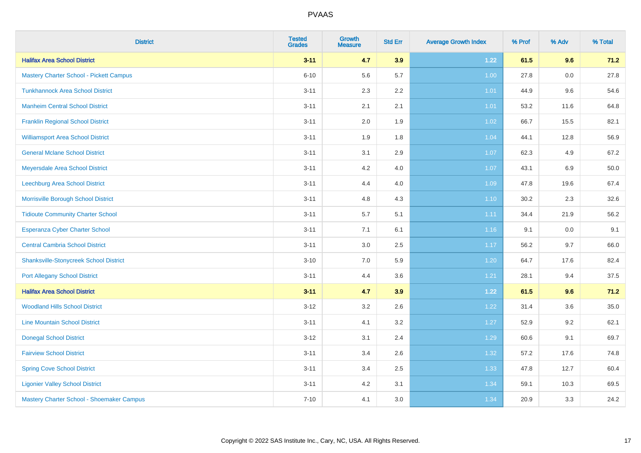| <b>District</b>                                | <b>Tested</b><br><b>Grades</b> | <b>Growth</b><br><b>Measure</b> | <b>Std Err</b> | <b>Average Growth Index</b> | % Prof | % Adv | % Total |
|------------------------------------------------|--------------------------------|---------------------------------|----------------|-----------------------------|--------|-------|---------|
| <b>Halifax Area School District</b>            | $3 - 11$                       | 4.7                             | 3.9            | 1.22                        | 61.5   | 9.6   | 71.2    |
| <b>Mastery Charter School - Pickett Campus</b> | $6 - 10$                       | 5.6                             | 5.7            | 1.00                        | 27.8   | 0.0   | 27.8    |
| <b>Tunkhannock Area School District</b>        | $3 - 11$                       | 2.3                             | 2.2            | 1.01                        | 44.9   | 9.6   | 54.6    |
| <b>Manheim Central School District</b>         | $3 - 11$                       | 2.1                             | 2.1            | 1.01                        | 53.2   | 11.6  | 64.8    |
| <b>Franklin Regional School District</b>       | $3 - 11$                       | 2.0                             | 1.9            | 1.02                        | 66.7   | 15.5  | 82.1    |
| <b>Williamsport Area School District</b>       | $3 - 11$                       | 1.9                             | 1.8            | 1.04                        | 44.1   | 12.8  | 56.9    |
| <b>General Mclane School District</b>          | $3 - 11$                       | 3.1                             | 2.9            | 1.07                        | 62.3   | 4.9   | 67.2    |
| Meyersdale Area School District                | $3 - 11$                       | 4.2                             | 4.0            | 1.07                        | 43.1   | 6.9   | 50.0    |
| Leechburg Area School District                 | $3 - 11$                       | 4.4                             | 4.0            | 1.09                        | 47.8   | 19.6  | 67.4    |
| Morrisville Borough School District            | $3 - 11$                       | 4.8                             | 4.3            | $1.10$                      | 30.2   | 2.3   | 32.6    |
| <b>Tidioute Community Charter School</b>       | $3 - 11$                       | 5.7                             | 5.1            | 1.11                        | 34.4   | 21.9  | 56.2    |
| <b>Esperanza Cyber Charter School</b>          | $3 - 11$                       | 7.1                             | 6.1            | 1.16                        | 9.1    | 0.0   | 9.1     |
| <b>Central Cambria School District</b>         | $3 - 11$                       | 3.0                             | 2.5            | 1.17                        | 56.2   | 9.7   | 66.0    |
| <b>Shanksville-Stonycreek School District</b>  | $3 - 10$                       | 7.0                             | 5.9            | 1.20                        | 64.7   | 17.6  | 82.4    |
| <b>Port Allegany School District</b>           | $3 - 11$                       | 4.4                             | 3.6            | 1.21                        | 28.1   | 9.4   | 37.5    |
| <b>Halifax Area School District</b>            | $3 - 11$                       | 4.7                             | 3.9            | 1.22                        | 61.5   | 9.6   | 71.2    |
| <b>Woodland Hills School District</b>          | $3 - 12$                       | 3.2                             | 2.6            | 1.22                        | 31.4   | 3.6   | 35.0    |
| <b>Line Mountain School District</b>           | $3 - 11$                       | 4.1                             | 3.2            | 1.27                        | 52.9   | 9.2   | 62.1    |
| <b>Donegal School District</b>                 | $3 - 12$                       | 3.1                             | 2.4            | 1.29                        | 60.6   | 9.1   | 69.7    |
| <b>Fairview School District</b>                | $3 - 11$                       | 3.4                             | 2.6            | 1.32                        | 57.2   | 17.6  | 74.8    |
| <b>Spring Cove School District</b>             | $3 - 11$                       | 3.4                             | 2.5            | 1.33                        | 47.8   | 12.7  | 60.4    |
| <b>Ligonier Valley School District</b>         | $3 - 11$                       | 4.2                             | 3.1            | 1.34                        | 59.1   | 10.3  | 69.5    |
| Mastery Charter School - Shoemaker Campus      | $7 - 10$                       | 4.1                             | 3.0            | 1.34                        | 20.9   | 3.3   | 24.2    |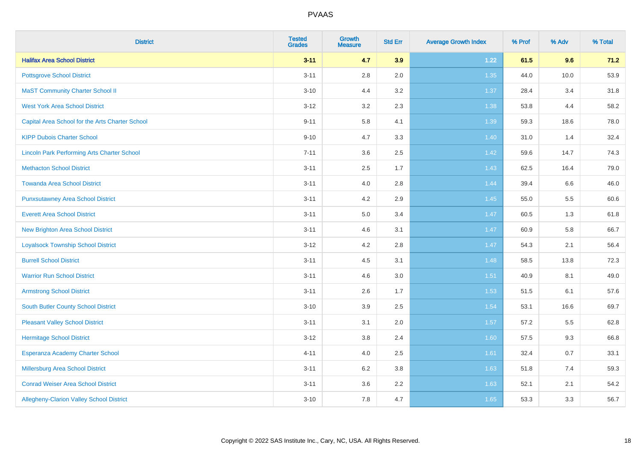| <b>District</b>                                    | <b>Tested</b><br><b>Grades</b> | <b>Growth</b><br><b>Measure</b> | <b>Std Err</b> | <b>Average Growth Index</b> | % Prof | % Adv | % Total |
|----------------------------------------------------|--------------------------------|---------------------------------|----------------|-----------------------------|--------|-------|---------|
| <b>Halifax Area School District</b>                | $3 - 11$                       | 4.7                             | 3.9            | 1.22                        | 61.5   | 9.6   | 71.2    |
| <b>Pottsgrove School District</b>                  | $3 - 11$                       | $2.8\,$                         | 2.0            | 1.35                        | 44.0   | 10.0  | 53.9    |
| <b>MaST Community Charter School II</b>            | $3 - 10$                       | 4.4                             | 3.2            | 1.37                        | 28.4   | 3.4   | 31.8    |
| <b>West York Area School District</b>              | $3 - 12$                       | 3.2                             | 2.3            | 1.38                        | 53.8   | 4.4   | 58.2    |
| Capital Area School for the Arts Charter School    | $9 - 11$                       | 5.8                             | 4.1            | 1.39                        | 59.3   | 18.6  | 78.0    |
| <b>KIPP Dubois Charter School</b>                  | $9 - 10$                       | 4.7                             | 3.3            | 1.40                        | 31.0   | 1.4   | 32.4    |
| <b>Lincoln Park Performing Arts Charter School</b> | $7 - 11$                       | 3.6                             | 2.5            | 1.42                        | 59.6   | 14.7  | 74.3    |
| <b>Methacton School District</b>                   | $3 - 11$                       | 2.5                             | 1.7            | 1.43                        | 62.5   | 16.4  | 79.0    |
| <b>Towanda Area School District</b>                | $3 - 11$                       | 4.0                             | 2.8            | 1.44                        | 39.4   | 6.6   | 46.0    |
| <b>Punxsutawney Area School District</b>           | $3 - 11$                       | 4.2                             | 2.9            | 1.45                        | 55.0   | 5.5   | 60.6    |
| <b>Everett Area School District</b>                | $3 - 11$                       | 5.0                             | 3.4            | 1.47                        | 60.5   | 1.3   | 61.8    |
| <b>New Brighton Area School District</b>           | $3 - 11$                       | 4.6                             | 3.1            | $1.47$                      | 60.9   | 5.8   | 66.7    |
| <b>Loyalsock Township School District</b>          | $3 - 12$                       | 4.2                             | 2.8            | 1.47                        | 54.3   | 2.1   | 56.4    |
| <b>Burrell School District</b>                     | $3 - 11$                       | 4.5                             | 3.1            | 1.48                        | 58.5   | 13.8  | 72.3    |
| <b>Warrior Run School District</b>                 | $3 - 11$                       | 4.6                             | 3.0            | 1.51                        | 40.9   | 8.1   | 49.0    |
| <b>Armstrong School District</b>                   | $3 - 11$                       | 2.6                             | 1.7            | 1.53                        | 51.5   | 6.1   | 57.6    |
| <b>South Butler County School District</b>         | $3 - 10$                       | 3.9                             | 2.5            | 1.54                        | 53.1   | 16.6  | 69.7    |
| <b>Pleasant Valley School District</b>             | $3 - 11$                       | 3.1                             | 2.0            | 1.57                        | 57.2   | 5.5   | 62.8    |
| <b>Hermitage School District</b>                   | $3 - 12$                       | $3.8\,$                         | 2.4            | 1.60                        | 57.5   | 9.3   | 66.8    |
| Esperanza Academy Charter School                   | $4 - 11$                       | 4.0                             | 2.5            | 1.61                        | 32.4   | 0.7   | 33.1    |
| Millersburg Area School District                   | $3 - 11$                       | 6.2                             | 3.8            | 1.63                        | 51.8   | 7.4   | 59.3    |
| <b>Conrad Weiser Area School District</b>          | $3 - 11$                       | 3.6                             | 2.2            | 1.63                        | 52.1   | 2.1   | 54.2    |
| Allegheny-Clarion Valley School District           | $3 - 10$                       | 7.8                             | 4.7            | 1.65                        | 53.3   | 3.3   | 56.7    |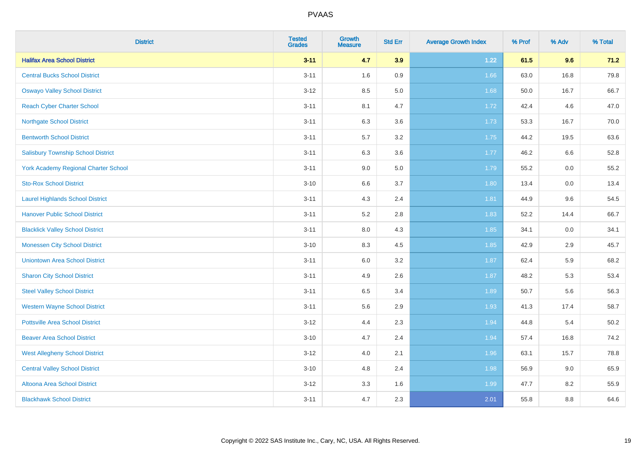| <b>District</b>                             | <b>Tested</b><br><b>Grades</b> | <b>Growth</b><br><b>Measure</b> | <b>Std Err</b> | <b>Average Growth Index</b> | % Prof | % Adv | % Total |
|---------------------------------------------|--------------------------------|---------------------------------|----------------|-----------------------------|--------|-------|---------|
| <b>Halifax Area School District</b>         | $3 - 11$                       | 4.7                             | 3.9            | 1.22                        | 61.5   | 9.6   | 71.2    |
| <b>Central Bucks School District</b>        | $3 - 11$                       | 1.6                             | 0.9            | 1.66                        | 63.0   | 16.8  | 79.8    |
| <b>Oswayo Valley School District</b>        | $3 - 12$                       | 8.5                             | 5.0            | 1.68                        | 50.0   | 16.7  | 66.7    |
| <b>Reach Cyber Charter School</b>           | $3 - 11$                       | 8.1                             | 4.7            | 1.72                        | 42.4   | 4.6   | 47.0    |
| Northgate School District                   | $3 - 11$                       | 6.3                             | 3.6            | 1.73                        | 53.3   | 16.7  | 70.0    |
| <b>Bentworth School District</b>            | $3 - 11$                       | 5.7                             | 3.2            | 1.75                        | 44.2   | 19.5  | 63.6    |
| <b>Salisbury Township School District</b>   | $3 - 11$                       | 6.3                             | 3.6            | 1.77                        | 46.2   | 6.6   | 52.8    |
| <b>York Academy Regional Charter School</b> | $3 - 11$                       | 9.0                             | 5.0            | 1.79                        | 55.2   | 0.0   | 55.2    |
| <b>Sto-Rox School District</b>              | $3 - 10$                       | 6.6                             | 3.7            | 1.80                        | 13.4   | 0.0   | 13.4    |
| <b>Laurel Highlands School District</b>     | $3 - 11$                       | 4.3                             | 2.4            | 1.81                        | 44.9   | 9.6   | 54.5    |
| <b>Hanover Public School District</b>       | $3 - 11$                       | 5.2                             | 2.8            | 1.83                        | 52.2   | 14.4  | 66.7    |
| <b>Blacklick Valley School District</b>     | $3 - 11$                       | 8.0                             | 4.3            | 1.85                        | 34.1   | 0.0   | 34.1    |
| <b>Monessen City School District</b>        | $3 - 10$                       | 8.3                             | 4.5            | 1.85                        | 42.9   | 2.9   | 45.7    |
| <b>Uniontown Area School District</b>       | $3 - 11$                       | $6.0\,$                         | 3.2            | 1.87                        | 62.4   | 5.9   | 68.2    |
| <b>Sharon City School District</b>          | $3 - 11$                       | 4.9                             | 2.6            | 1.87                        | 48.2   | 5.3   | 53.4    |
| <b>Steel Valley School District</b>         | $3 - 11$                       | 6.5                             | 3.4            | 1.89                        | 50.7   | 5.6   | 56.3    |
| <b>Western Wayne School District</b>        | $3 - 11$                       | 5.6                             | 2.9            | 1.93                        | 41.3   | 17.4  | 58.7    |
| <b>Pottsville Area School District</b>      | $3 - 12$                       | 4.4                             | 2.3            | 1.94                        | 44.8   | 5.4   | 50.2    |
| <b>Beaver Area School District</b>          | $3 - 10$                       | 4.7                             | 2.4            | 1.94                        | 57.4   | 16.8  | 74.2    |
| <b>West Allegheny School District</b>       | $3 - 12$                       | 4.0                             | 2.1            | 1.96                        | 63.1   | 15.7  | 78.8    |
| <b>Central Valley School District</b>       | $3 - 10$                       | 4.8                             | 2.4            | 1.98                        | 56.9   | 9.0   | 65.9    |
| Altoona Area School District                | $3 - 12$                       | 3.3                             | 1.6            | 1.99                        | 47.7   | 8.2   | 55.9    |
| <b>Blackhawk School District</b>            | $3 - 11$                       | 4.7                             | 2.3            | 2.01                        | 55.8   | 8.8   | 64.6    |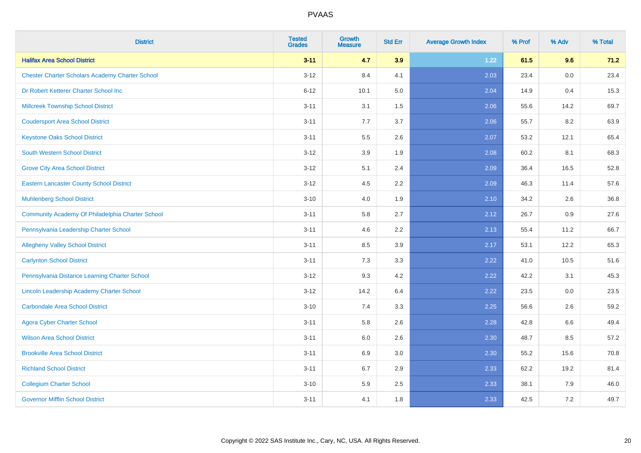| <b>District</b>                                        | <b>Tested</b><br><b>Grades</b> | <b>Growth</b><br><b>Measure</b> | <b>Std Err</b> | <b>Average Growth Index</b> | % Prof | % Adv | % Total |
|--------------------------------------------------------|--------------------------------|---------------------------------|----------------|-----------------------------|--------|-------|---------|
| <b>Halifax Area School District</b>                    | $3 - 11$                       | 4.7                             | 3.9            | 1.22                        | 61.5   | 9.6   | 71.2    |
| <b>Chester Charter Scholars Academy Charter School</b> | $3 - 12$                       | 8.4                             | 4.1            | 2.03                        | 23.4   | 0.0   | 23.4    |
| Dr Robert Ketterer Charter School Inc                  | $6 - 12$                       | 10.1                            | 5.0            | 2.04                        | 14.9   | 0.4   | 15.3    |
| <b>Millcreek Township School District</b>              | $3 - 11$                       | 3.1                             | 1.5            | 2.06                        | 55.6   | 14.2  | 69.7    |
| <b>Coudersport Area School District</b>                | $3 - 11$                       | 7.7                             | 3.7            | 2.06                        | 55.7   | 8.2   | 63.9    |
| <b>Keystone Oaks School District</b>                   | $3 - 11$                       | 5.5                             | 2.6            | 2.07                        | 53.2   | 12.1  | 65.4    |
| <b>South Western School District</b>                   | $3 - 12$                       | 3.9                             | 1.9            | 2.08                        | 60.2   | 8.1   | 68.3    |
| <b>Grove City Area School District</b>                 | $3 - 12$                       | 5.1                             | 2.4            | 2.09                        | 36.4   | 16.5  | 52.8    |
| <b>Eastern Lancaster County School District</b>        | $3 - 12$                       | 4.5                             | 2.2            | 2.09                        | 46.3   | 11.4  | 57.6    |
| <b>Muhlenberg School District</b>                      | $3 - 10$                       | 4.0                             | 1.9            | 2.10                        | 34.2   | 2.6   | 36.8    |
| Community Academy Of Philadelphia Charter School       | $3 - 11$                       | 5.8                             | 2.7            | 2.12                        | 26.7   | 0.9   | 27.6    |
| Pennsylvania Leadership Charter School                 | $3 - 11$                       | 4.6                             | 2.2            | 2.13                        | 55.4   | 11.2  | 66.7    |
| <b>Allegheny Valley School District</b>                | $3 - 11$                       | 8.5                             | 3.9            | 2.17                        | 53.1   | 12.2  | 65.3    |
| <b>Carlynton School District</b>                       | $3 - 11$                       | 7.3                             | 3.3            | 2.22                        | 41.0   | 10.5  | 51.6    |
| Pennsylvania Distance Learning Charter School          | $3 - 12$                       | 9.3                             | 4.2            | 2.22                        | 42.2   | 3.1   | 45.3    |
| Lincoln Leadership Academy Charter School              | $3 - 12$                       | 14.2                            | 6.4            | 2.22                        | 23.5   | 0.0   | 23.5    |
| <b>Carbondale Area School District</b>                 | $3 - 10$                       | 7.4                             | 3.3            | 2.25                        | 56.6   | 2.6   | 59.2    |
| <b>Agora Cyber Charter School</b>                      | $3 - 11$                       | 5.8                             | 2.6            | 2.28                        | 42.8   | 6.6   | 49.4    |
| <b>Wilson Area School District</b>                     | $3 - 11$                       | 6.0                             | 2.6            | 2.30                        | 48.7   | 8.5   | 57.2    |
| <b>Brookville Area School District</b>                 | $3 - 11$                       | 6.9                             | 3.0            | 2.30                        | 55.2   | 15.6  | 70.8    |
| <b>Richland School District</b>                        | $3 - 11$                       | 6.7                             | 2.9            | 2.33                        | 62.2   | 19.2  | 81.4    |
| <b>Collegium Charter School</b>                        | $3 - 10$                       | 5.9                             | 2.5            | 2.33                        | 38.1   | 7.9   | 46.0    |
| <b>Governor Mifflin School District</b>                | $3 - 11$                       | 4.1                             | 1.8            | 2.33                        | 42.5   | 7.2   | 49.7    |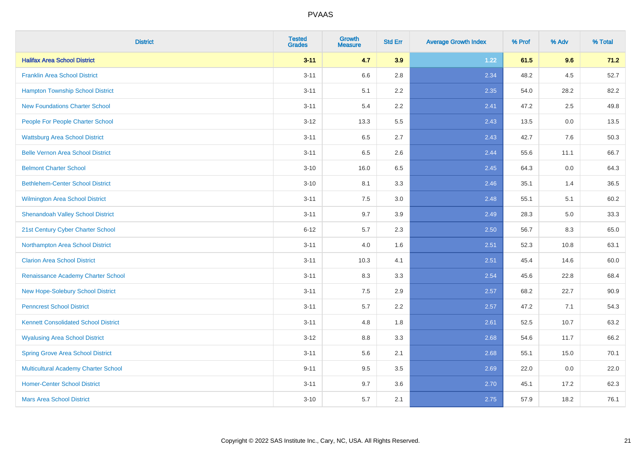| <b>District</b>                             | <b>Tested</b><br><b>Grades</b> | <b>Growth</b><br><b>Measure</b> | <b>Std Err</b> | <b>Average Growth Index</b> | % Prof | % Adv | % Total |
|---------------------------------------------|--------------------------------|---------------------------------|----------------|-----------------------------|--------|-------|---------|
| <b>Halifax Area School District</b>         | $3 - 11$                       | 4.7                             | 3.9            | 1.22                        | 61.5   | 9.6   | 71.2    |
| <b>Franklin Area School District</b>        | $3 - 11$                       | 6.6                             | 2.8            | 2.34                        | 48.2   | 4.5   | 52.7    |
| <b>Hampton Township School District</b>     | $3 - 11$                       | 5.1                             | 2.2            | 2.35                        | 54.0   | 28.2  | 82.2    |
| <b>New Foundations Charter School</b>       | $3 - 11$                       | 5.4                             | 2.2            | 2.41                        | 47.2   | 2.5   | 49.8    |
| People For People Charter School            | $3 - 12$                       | 13.3                            | 5.5            | 2.43                        | 13.5   | 0.0   | 13.5    |
| <b>Wattsburg Area School District</b>       | $3 - 11$                       | 6.5                             | 2.7            | 2.43                        | 42.7   | 7.6   | 50.3    |
| <b>Belle Vernon Area School District</b>    | $3 - 11$                       | 6.5                             | 2.6            | 2.44                        | 55.6   | 11.1  | 66.7    |
| <b>Belmont Charter School</b>               | $3 - 10$                       | 16.0                            | 6.5            | 2.45                        | 64.3   | 0.0   | 64.3    |
| <b>Bethlehem-Center School District</b>     | $3 - 10$                       | 8.1                             | 3.3            | 2.46                        | 35.1   | 1.4   | 36.5    |
| <b>Wilmington Area School District</b>      | $3 - 11$                       | 7.5                             | 3.0            | 2.48                        | 55.1   | 5.1   | 60.2    |
| <b>Shenandoah Valley School District</b>    | $3 - 11$                       | 9.7                             | 3.9            | 2.49                        | 28.3   | 5.0   | 33.3    |
| 21st Century Cyber Charter School           | $6 - 12$                       | 5.7                             | 2.3            | 2.50                        | 56.7   | 8.3   | 65.0    |
| Northampton Area School District            | $3 - 11$                       | 4.0                             | 1.6            | 2.51                        | 52.3   | 10.8  | 63.1    |
| <b>Clarion Area School District</b>         | $3 - 11$                       | 10.3                            | 4.1            | 2.51                        | 45.4   | 14.6  | 60.0    |
| Renaissance Academy Charter School          | $3 - 11$                       | 8.3                             | 3.3            | 2.54                        | 45.6   | 22.8  | 68.4    |
| New Hope-Solebury School District           | $3 - 11$                       | $7.5\,$                         | 2.9            | 2.57                        | 68.2   | 22.7  | 90.9    |
| <b>Penncrest School District</b>            | $3 - 11$                       | 5.7                             | 2.2            | 2.57                        | 47.2   | 7.1   | 54.3    |
| <b>Kennett Consolidated School District</b> | $3 - 11$                       | 4.8                             | 1.8            | 2.61                        | 52.5   | 10.7  | 63.2    |
| <b>Wyalusing Area School District</b>       | $3 - 12$                       | $8.8\,$                         | 3.3            | 2.68                        | 54.6   | 11.7  | 66.2    |
| <b>Spring Grove Area School District</b>    | $3 - 11$                       | 5.6                             | 2.1            | 2.68                        | 55.1   | 15.0  | 70.1    |
| <b>Multicultural Academy Charter School</b> | $9 - 11$                       | 9.5                             | 3.5            | 2.69                        | 22.0   | 0.0   | 22.0    |
| <b>Homer-Center School District</b>         | $3 - 11$                       | 9.7                             | 3.6            | 2.70                        | 45.1   | 17.2  | 62.3    |
| <b>Mars Area School District</b>            | $3 - 10$                       | 5.7                             | 2.1            | 2.75                        | 57.9   | 18.2  | 76.1    |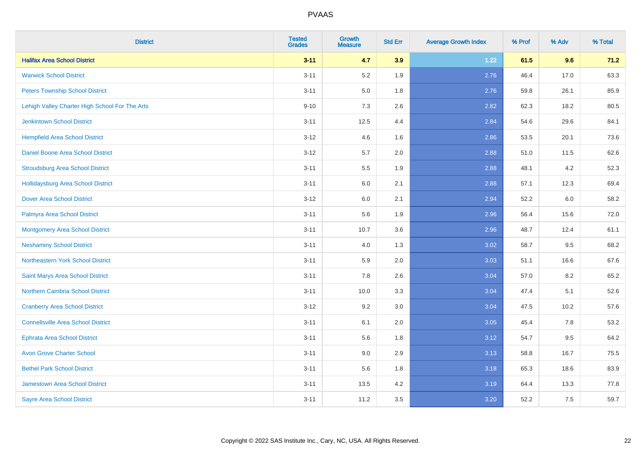| <b>District</b>                                | <b>Tested</b><br><b>Grades</b> | <b>Growth</b><br><b>Measure</b> | <b>Std Err</b> | <b>Average Growth Index</b> | % Prof | % Adv | % Total |
|------------------------------------------------|--------------------------------|---------------------------------|----------------|-----------------------------|--------|-------|---------|
| <b>Halifax Area School District</b>            | $3 - 11$                       | 4.7                             | 3.9            | 1.22                        | 61.5   | 9.6   | 71.2    |
| <b>Warwick School District</b>                 | $3 - 11$                       | 5.2                             | 1.9            | 2.76                        | 46.4   | 17.0  | 63.3    |
| <b>Peters Township School District</b>         | $3 - 11$                       | 5.0                             | 1.8            | 2.76                        | 59.8   | 26.1  | 85.9    |
| Lehigh Valley Charter High School For The Arts | $9 - 10$                       | $7.3$                           | 2.6            | 2.82                        | 62.3   | 18.2  | 80.5    |
| <b>Jenkintown School District</b>              | $3 - 11$                       | 12.5                            | 4.4            | 2.84                        | 54.6   | 29.6  | 84.1    |
| <b>Hempfield Area School District</b>          | $3 - 12$                       | 4.6                             | 1.6            | 2.86                        | 53.5   | 20.1  | 73.6    |
| Daniel Boone Area School District              | $3 - 12$                       | 5.7                             | 2.0            | 2.88                        | 51.0   | 11.5  | 62.6    |
| <b>Stroudsburg Area School District</b>        | $3 - 11$                       | 5.5                             | 1.9            | 2.88                        | 48.1   | 4.2   | 52.3    |
| <b>Hollidaysburg Area School District</b>      | $3 - 11$                       | 6.0                             | 2.1            | 2.88                        | 57.1   | 12.3  | 69.4    |
| <b>Dover Area School District</b>              | $3 - 12$                       | 6.0                             | 2.1            | 2.94                        | 52.2   | 6.0   | 58.2    |
| Palmyra Area School District                   | $3 - 11$                       | 5.6                             | 1.9            | 2.96                        | 56.4   | 15.6  | 72.0    |
| <b>Montgomery Area School District</b>         | $3 - 11$                       | 10.7                            | 3.6            | 2.96                        | 48.7   | 12.4  | 61.1    |
| <b>Neshaminy School District</b>               | $3 - 11$                       | 4.0                             | 1.3            | 3.02                        | 58.7   | 9.5   | 68.2    |
| <b>Northeastern York School District</b>       | $3 - 11$                       | 5.9                             | 2.0            | 3.03                        | 51.1   | 16.6  | 67.6    |
| Saint Marys Area School District               | $3 - 11$                       | 7.8                             | 2.6            | 3.04                        | 57.0   | 8.2   | 65.2    |
| <b>Northern Cambria School District</b>        | $3 - 11$                       | 10.0                            | 3.3            | 3.04                        | 47.4   | 5.1   | 52.6    |
| <b>Cranberry Area School District</b>          | $3 - 12$                       | 9.2                             | 3.0            | 3.04                        | 47.5   | 10.2  | 57.6    |
| <b>Connellsville Area School District</b>      | $3 - 11$                       | 6.1                             | 2.0            | 3.05                        | 45.4   | 7.8   | 53.2    |
| <b>Ephrata Area School District</b>            | $3 - 11$                       | 5.6                             | 1.8            | 3.12                        | 54.7   | 9.5   | 64.2    |
| <b>Avon Grove Charter School</b>               | $3 - 11$                       | 9.0                             | 2.9            | 3.13                        | 58.8   | 16.7  | 75.5    |
| <b>Bethel Park School District</b>             | $3 - 11$                       | 5.6                             | 1.8            | 3.18                        | 65.3   | 18.6  | 83.9    |
| Jamestown Area School District                 | $3 - 11$                       | 13.5                            | 4.2            | 3.19                        | 64.4   | 13.3  | 77.8    |
| <b>Sayre Area School District</b>              | $3 - 11$                       | 11.2                            | 3.5            | 3.20                        | 52.2   | 7.5   | 59.7    |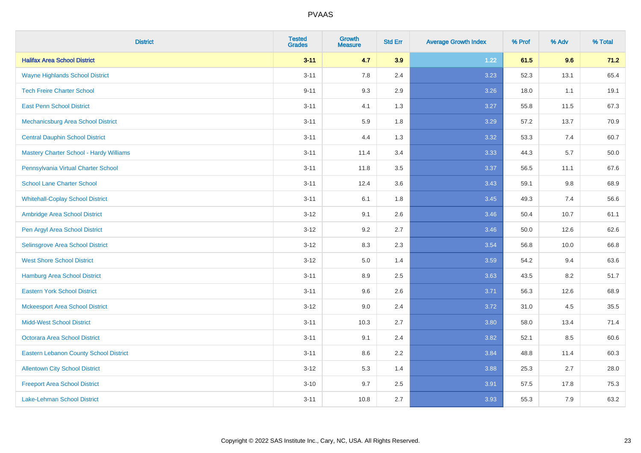| <b>District</b>                                | <b>Tested</b><br><b>Grades</b> | <b>Growth</b><br><b>Measure</b> | <b>Std Err</b> | <b>Average Growth Index</b> | % Prof | % Adv | % Total |
|------------------------------------------------|--------------------------------|---------------------------------|----------------|-----------------------------|--------|-------|---------|
| <b>Halifax Area School District</b>            | $3 - 11$                       | 4.7                             | 3.9            | 1.22                        | 61.5   | 9.6   | 71.2    |
| <b>Wayne Highlands School District</b>         | $3 - 11$                       | 7.8                             | 2.4            | 3.23                        | 52.3   | 13.1  | 65.4    |
| <b>Tech Freire Charter School</b>              | $9 - 11$                       | 9.3                             | 2.9            | 3.26                        | 18.0   | 1.1   | 19.1    |
| <b>East Penn School District</b>               | $3 - 11$                       | 4.1                             | 1.3            | 3.27                        | 55.8   | 11.5  | 67.3    |
| Mechanicsburg Area School District             | $3 - 11$                       | 5.9                             | 1.8            | 3.29                        | 57.2   | 13.7  | 70.9    |
| <b>Central Dauphin School District</b>         | $3 - 11$                       | 4.4                             | 1.3            | 3.32                        | 53.3   | 7.4   | 60.7    |
| <b>Mastery Charter School - Hardy Williams</b> | $3 - 11$                       | 11.4                            | 3.4            | 3.33                        | 44.3   | 5.7   | 50.0    |
| Pennsylvania Virtual Charter School            | $3 - 11$                       | 11.8                            | 3.5            | 3.37                        | 56.5   | 11.1  | 67.6    |
| <b>School Lane Charter School</b>              | $3 - 11$                       | 12.4                            | 3.6            | 3.43                        | 59.1   | 9.8   | 68.9    |
| <b>Whitehall-Coplay School District</b>        | $3 - 11$                       | 6.1                             | 1.8            | 3.45                        | 49.3   | 7.4   | 56.6    |
| Ambridge Area School District                  | $3 - 12$                       | 9.1                             | 2.6            | 3.46                        | 50.4   | 10.7  | 61.1    |
| Pen Argyl Area School District                 | $3 - 12$                       | 9.2                             | 2.7            | 3.46                        | 50.0   | 12.6  | 62.6    |
| Selinsgrove Area School District               | $3 - 12$                       | 8.3                             | 2.3            | 3.54                        | 56.8   | 10.0  | 66.8    |
| <b>West Shore School District</b>              | $3 - 12$                       | 5.0                             | 1.4            | 3.59                        | 54.2   | 9.4   | 63.6    |
| <b>Hamburg Area School District</b>            | $3 - 11$                       | 8.9                             | 2.5            | 3.63                        | 43.5   | 8.2   | 51.7    |
| <b>Eastern York School District</b>            | $3 - 11$                       | 9.6                             | 2.6            | 3.71                        | 56.3   | 12.6  | 68.9    |
| <b>Mckeesport Area School District</b>         | $3 - 12$                       | 9.0                             | 2.4            | 3.72                        | 31.0   | 4.5   | 35.5    |
| <b>Midd-West School District</b>               | $3 - 11$                       | 10.3                            | 2.7            | 3.80                        | 58.0   | 13.4  | 71.4    |
| <b>Octorara Area School District</b>           | $3 - 11$                       | 9.1                             | 2.4            | 3.82                        | 52.1   | 8.5   | 60.6    |
| <b>Eastern Lebanon County School District</b>  | $3 - 11$                       | 8.6                             | 2.2            | 3.84                        | 48.8   | 11.4  | 60.3    |
| <b>Allentown City School District</b>          | $3 - 12$                       | 5.3                             | 1.4            | 3.88                        | 25.3   | 2.7   | 28.0    |
| <b>Freeport Area School District</b>           | $3 - 10$                       | 9.7                             | 2.5            | 3.91                        | 57.5   | 17.8  | 75.3    |
| <b>Lake-Lehman School District</b>             | $3 - 11$                       | 10.8                            | 2.7            | 3.93                        | 55.3   | 7.9   | 63.2    |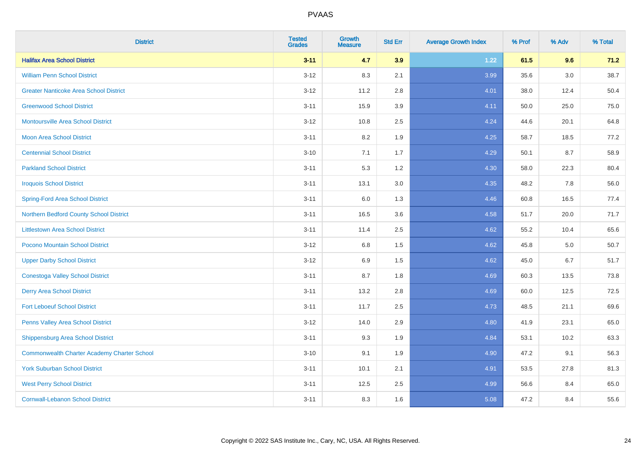| <b>District</b>                                    | <b>Tested</b><br><b>Grades</b> | <b>Growth</b><br><b>Measure</b> | <b>Std Err</b> | <b>Average Growth Index</b> | % Prof | % Adv   | % Total |
|----------------------------------------------------|--------------------------------|---------------------------------|----------------|-----------------------------|--------|---------|---------|
| <b>Halifax Area School District</b>                | $3 - 11$                       | 4.7                             | 3.9            | 1.22                        | 61.5   | 9.6     | 71.2    |
| <b>William Penn School District</b>                | $3 - 12$                       | 8.3                             | 2.1            | 3.99                        | 35.6   | $3.0\,$ | 38.7    |
| <b>Greater Nanticoke Area School District</b>      | $3 - 12$                       | 11.2                            | 2.8            | 4.01                        | 38.0   | 12.4    | 50.4    |
| <b>Greenwood School District</b>                   | $3 - 11$                       | 15.9                            | 3.9            | 4.11                        | 50.0   | 25.0    | 75.0    |
| <b>Montoursville Area School District</b>          | $3 - 12$                       | 10.8                            | 2.5            | 4.24                        | 44.6   | 20.1    | 64.8    |
| <b>Moon Area School District</b>                   | $3 - 11$                       | 8.2                             | 1.9            | 4.25                        | 58.7   | 18.5    | 77.2    |
| <b>Centennial School District</b>                  | $3 - 10$                       | 7.1                             | 1.7            | 4.29                        | 50.1   | 8.7     | 58.9    |
| <b>Parkland School District</b>                    | $3 - 11$                       | 5.3                             | 1.2            | 4.30                        | 58.0   | 22.3    | 80.4    |
| <b>Iroquois School District</b>                    | $3 - 11$                       | 13.1                            | 3.0            | 4.35                        | 48.2   | 7.8     | 56.0    |
| <b>Spring-Ford Area School District</b>            | $3 - 11$                       | 6.0                             | 1.3            | 4.46                        | 60.8   | 16.5    | 77.4    |
| Northern Bedford County School District            | $3 - 11$                       | 16.5                            | 3.6            | 4.58                        | 51.7   | 20.0    | 71.7    |
| <b>Littlestown Area School District</b>            | $3 - 11$                       | 11.4                            | 2.5            | 4.62                        | 55.2   | 10.4    | 65.6    |
| Pocono Mountain School District                    | $3 - 12$                       | $6.8\,$                         | 1.5            | 4.62                        | 45.8   | 5.0     | 50.7    |
| <b>Upper Darby School District</b>                 | $3 - 12$                       | 6.9                             | 1.5            | 4.62                        | 45.0   | 6.7     | 51.7    |
| <b>Conestoga Valley School District</b>            | $3 - 11$                       | 8.7                             | 1.8            | 4.69                        | 60.3   | 13.5    | 73.8    |
| <b>Derry Area School District</b>                  | $3 - 11$                       | 13.2                            | 2.8            | 4.69                        | 60.0   | 12.5    | 72.5    |
| <b>Fort Leboeuf School District</b>                | $3 - 11$                       | 11.7                            | 2.5            | 4.73                        | 48.5   | 21.1    | 69.6    |
| Penns Valley Area School District                  | $3 - 12$                       | 14.0                            | 2.9            | 4.80                        | 41.9   | 23.1    | 65.0    |
| Shippensburg Area School District                  | $3 - 11$                       | 9.3                             | 1.9            | 4.84                        | 53.1   | 10.2    | 63.3    |
| <b>Commonwealth Charter Academy Charter School</b> | $3 - 10$                       | 9.1                             | 1.9            | 4.90                        | 47.2   | 9.1     | 56.3    |
| <b>York Suburban School District</b>               | $3 - 11$                       | 10.1                            | 2.1            | 4.91                        | 53.5   | 27.8    | 81.3    |
| <b>West Perry School District</b>                  | $3 - 11$                       | 12.5                            | 2.5            | 4.99                        | 56.6   | 8.4     | 65.0    |
| <b>Cornwall-Lebanon School District</b>            | $3 - 11$                       | 8.3                             | 1.6            | 5.08                        | 47.2   | 8.4     | 55.6    |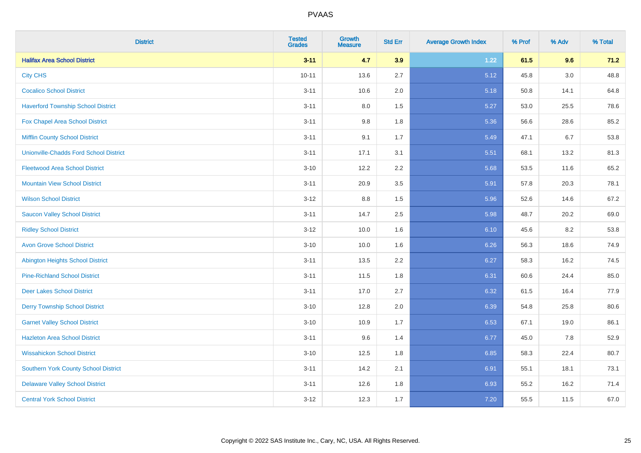| <b>District</b>                               | <b>Tested</b><br><b>Grades</b> | <b>Growth</b><br><b>Measure</b> | <b>Std Err</b> | <b>Average Growth Index</b> | % Prof | % Adv | % Total |
|-----------------------------------------------|--------------------------------|---------------------------------|----------------|-----------------------------|--------|-------|---------|
| <b>Halifax Area School District</b>           | $3 - 11$                       | 4.7                             | 3.9            | 1.22                        | 61.5   | 9.6   | 71.2    |
| <b>City CHS</b>                               | $10 - 11$                      | 13.6                            | 2.7            | 5.12                        | 45.8   | 3.0   | 48.8    |
| <b>Cocalico School District</b>               | $3 - 11$                       | 10.6                            | 2.0            | 5.18                        | 50.8   | 14.1  | 64.8    |
| <b>Haverford Township School District</b>     | $3 - 11$                       | $8.0\,$                         | 1.5            | 5.27                        | 53.0   | 25.5  | 78.6    |
| Fox Chapel Area School District               | $3 - 11$                       | 9.8                             | 1.8            | 5.36                        | 56.6   | 28.6  | 85.2    |
| <b>Mifflin County School District</b>         | $3 - 11$                       | 9.1                             | 1.7            | 5.49                        | 47.1   | 6.7   | 53.8    |
| <b>Unionville-Chadds Ford School District</b> | $3 - 11$                       | 17.1                            | 3.1            | 5.51                        | 68.1   | 13.2  | 81.3    |
| <b>Fleetwood Area School District</b>         | $3 - 10$                       | 12.2                            | 2.2            | 5.68                        | 53.5   | 11.6  | 65.2    |
| <b>Mountain View School District</b>          | $3 - 11$                       | 20.9                            | 3.5            | 5.91                        | 57.8   | 20.3  | 78.1    |
| <b>Wilson School District</b>                 | $3 - 12$                       | 8.8                             | 1.5            | 5.96                        | 52.6   | 14.6  | 67.2    |
| <b>Saucon Valley School District</b>          | $3 - 11$                       | 14.7                            | 2.5            | 5.98                        | 48.7   | 20.2  | 69.0    |
| <b>Ridley School District</b>                 | $3 - 12$                       | 10.0                            | 1.6            | 6.10                        | 45.6   | 8.2   | 53.8    |
| <b>Avon Grove School District</b>             | $3 - 10$                       | 10.0                            | 1.6            | 6.26                        | 56.3   | 18.6  | 74.9    |
| <b>Abington Heights School District</b>       | $3 - 11$                       | 13.5                            | 2.2            | 6.27                        | 58.3   | 16.2  | 74.5    |
| <b>Pine-Richland School District</b>          | $3 - 11$                       | 11.5                            | 1.8            | 6.31                        | 60.6   | 24.4  | 85.0    |
| <b>Deer Lakes School District</b>             | $3 - 11$                       | 17.0                            | 2.7            | 6.32                        | 61.5   | 16.4  | 77.9    |
| <b>Derry Township School District</b>         | $3 - 10$                       | 12.8                            | 2.0            | 6.39                        | 54.8   | 25.8  | 80.6    |
| <b>Garnet Valley School District</b>          | $3 - 10$                       | 10.9                            | 1.7            | 6.53                        | 67.1   | 19.0  | 86.1    |
| <b>Hazleton Area School District</b>          | $3 - 11$                       | 9.6                             | 1.4            | 6.77                        | 45.0   | 7.8   | 52.9    |
| <b>Wissahickon School District</b>            | $3 - 10$                       | 12.5                            | 1.8            | 6.85                        | 58.3   | 22.4  | 80.7    |
| <b>Southern York County School District</b>   | $3 - 11$                       | 14.2                            | 2.1            | 6.91                        | 55.1   | 18.1  | 73.1    |
| <b>Delaware Valley School District</b>        | $3 - 11$                       | 12.6                            | 1.8            | 6.93                        | 55.2   | 16.2  | 71.4    |
| <b>Central York School District</b>           | $3-12$                         | 12.3                            | 1.7            | 7.20                        | 55.5   | 11.5  | 67.0    |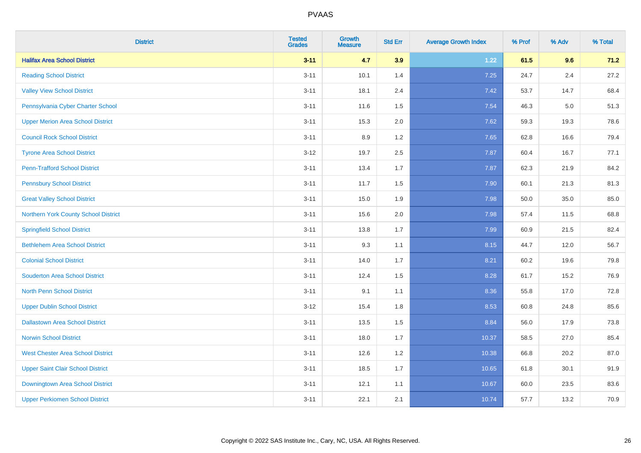| <b>District</b>                          | <b>Tested</b><br><b>Grades</b> | <b>Growth</b><br><b>Measure</b> | <b>Std Err</b> | <b>Average Growth Index</b> | % Prof | % Adv | % Total |
|------------------------------------------|--------------------------------|---------------------------------|----------------|-----------------------------|--------|-------|---------|
| <b>Halifax Area School District</b>      | $3 - 11$                       | 4.7                             | 3.9            | 1.22                        | 61.5   | 9.6   | 71.2    |
| <b>Reading School District</b>           | $3 - 11$                       | 10.1                            | 1.4            | 7.25                        | 24.7   | 2.4   | 27.2    |
| <b>Valley View School District</b>       | $3 - 11$                       | 18.1                            | 2.4            | 7.42                        | 53.7   | 14.7  | 68.4    |
| Pennsylvania Cyber Charter School        | $3 - 11$                       | 11.6                            | 1.5            | 7.54                        | 46.3   | 5.0   | 51.3    |
| <b>Upper Merion Area School District</b> | $3 - 11$                       | 15.3                            | 2.0            | 7.62                        | 59.3   | 19.3  | 78.6    |
| <b>Council Rock School District</b>      | $3 - 11$                       | 8.9                             | 1.2            | 7.65                        | 62.8   | 16.6  | 79.4    |
| <b>Tyrone Area School District</b>       | $3 - 12$                       | 19.7                            | 2.5            | 7.87                        | 60.4   | 16.7  | 77.1    |
| <b>Penn-Trafford School District</b>     | $3 - 11$                       | 13.4                            | 1.7            | 7.87                        | 62.3   | 21.9  | 84.2    |
| <b>Pennsbury School District</b>         | $3 - 11$                       | 11.7                            | 1.5            | 7.90                        | 60.1   | 21.3  | 81.3    |
| <b>Great Valley School District</b>      | $3 - 11$                       | 15.0                            | 1.9            | 7.98                        | 50.0   | 35.0  | 85.0    |
| Northern York County School District     | $3 - 11$                       | 15.6                            | 2.0            | 7.98                        | 57.4   | 11.5  | 68.8    |
| <b>Springfield School District</b>       | $3 - 11$                       | 13.8                            | 1.7            | 7.99                        | 60.9   | 21.5  | 82.4    |
| <b>Bethlehem Area School District</b>    | $3 - 11$                       | 9.3                             | 1.1            | 8.15                        | 44.7   | 12.0  | 56.7    |
| <b>Colonial School District</b>          | $3 - 11$                       | 14.0                            | 1.7            | 8.21                        | 60.2   | 19.6  | 79.8    |
| <b>Souderton Area School District</b>    | $3 - 11$                       | 12.4                            | 1.5            | 8.28                        | 61.7   | 15.2  | 76.9    |
| <b>North Penn School District</b>        | $3 - 11$                       | 9.1                             | 1.1            | 8.36                        | 55.8   | 17.0  | 72.8    |
| <b>Upper Dublin School District</b>      | $3 - 12$                       | 15.4                            | 1.8            | 8.53                        | 60.8   | 24.8  | 85.6    |
| <b>Dallastown Area School District</b>   | $3 - 11$                       | 13.5                            | 1.5            | 8.84                        | 56.0   | 17.9  | 73.8    |
| <b>Norwin School District</b>            | $3 - 11$                       | 18.0                            | 1.7            | 10.37                       | 58.5   | 27.0  | 85.4    |
| <b>West Chester Area School District</b> | $3 - 11$                       | 12.6                            | 1.2            | 10.38                       | 66.8   | 20.2  | 87.0    |
| <b>Upper Saint Clair School District</b> | $3 - 11$                       | 18.5                            | 1.7            | 10.65                       | 61.8   | 30.1  | 91.9    |
| Downingtown Area School District         | $3 - 11$                       | 12.1                            | 1.1            | 10.67                       | 60.0   | 23.5  | 83.6    |
| <b>Upper Perkiomen School District</b>   | $3 - 11$                       | 22.1                            | 2.1            | 10.74                       | 57.7   | 13.2  | 70.9    |